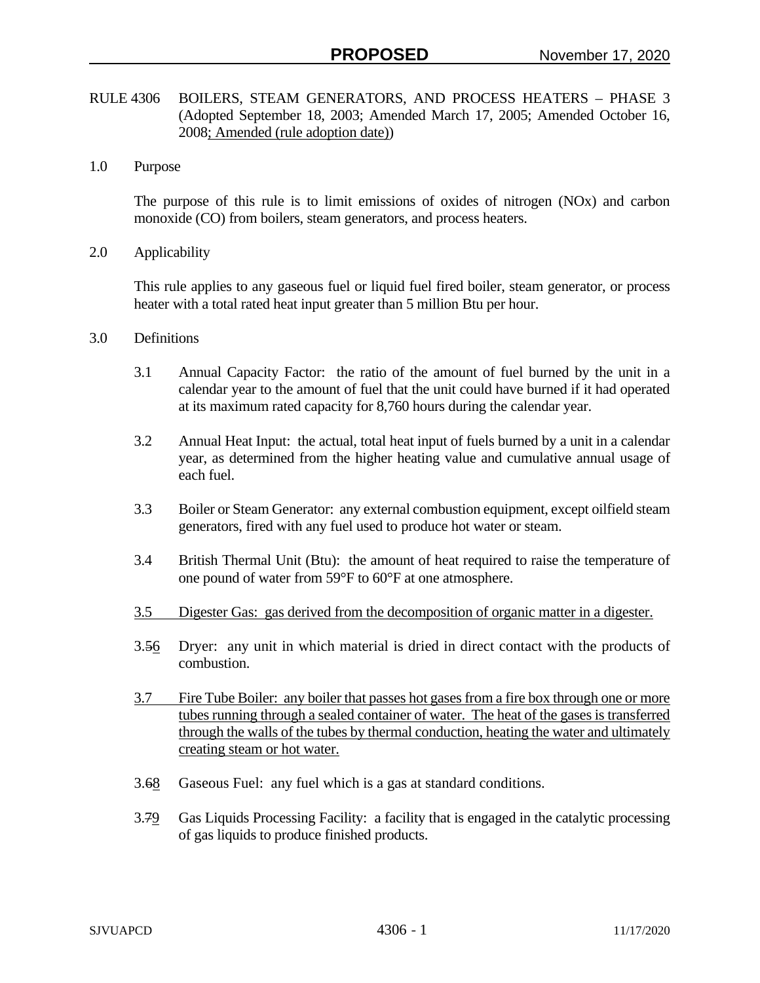- RULE 4306 BOILERS, STEAM GENERATORS, AND PROCESS HEATERS PHASE 3 (Adopted September 18, 2003; Amended March 17, 2005; Amended October 16, 2008; Amended (rule adoption date))
- 1.0 Purpose

The purpose of this rule is to limit emissions of oxides of nitrogen (NOx) and carbon monoxide (CO) from boilers, steam generators, and process heaters.

2.0 Applicability

This rule applies to any gaseous fuel or liquid fuel fired boiler, steam generator, or process heater with a total rated heat input greater than 5 million Btu per hour.

- 3.0 Definitions
	- 3.1 Annual Capacity Factor: the ratio of the amount of fuel burned by the unit in a calendar year to the amount of fuel that the unit could have burned if it had operated at its maximum rated capacity for 8,760 hours during the calendar year.
	- 3.2 Annual Heat Input: the actual, total heat input of fuels burned by a unit in a calendar year, as determined from the higher heating value and cumulative annual usage of each fuel.
	- 3.3 Boiler or Steam Generator: any external combustion equipment, except oilfield steam generators, fired with any fuel used to produce hot water or steam.
	- 3.4 British Thermal Unit (Btu): the amount of heat required to raise the temperature of one pound of water from 59°F to 60°F at one atmosphere.
	- 3.5 Digester Gas: gas derived from the decomposition of organic matter in a digester.
	- 3.56 Dryer: any unit in which material is dried in direct contact with the products of combustion.
	- 3.7 Fire Tube Boiler: any boiler that passes hot gases from a fire box through one or more tubes running through a sealed container of water. The heat of the gases is transferred through the walls of the tubes by thermal conduction, heating the water and ultimately creating steam or hot water.
	- 3.68 Gaseous Fuel: any fuel which is a gas at standard conditions.
	- 3.79 Gas Liquids Processing Facility: a facility that is engaged in the catalytic processing of gas liquids to produce finished products.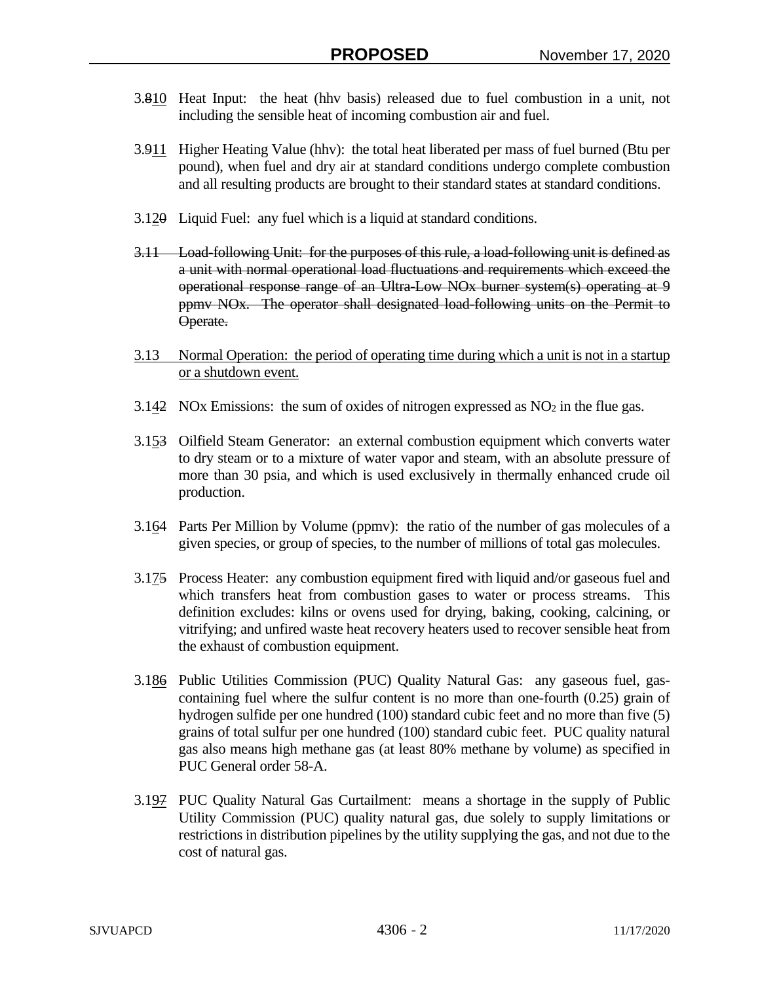- 3.810 Heat Input: the heat (hhv basis) released due to fuel combustion in a unit, not including the sensible heat of incoming combustion air and fuel.
- 3.911 Higher Heating Value (hhv): the total heat liberated per mass of fuel burned (Btu per pound), when fuel and dry air at standard conditions undergo complete combustion and all resulting products are brought to their standard states at standard conditions.
- 3.120 Liquid Fuel: any fuel which is a liquid at standard conditions.
- 3.11 Load-following Unit: for the purposes of this rule, a load-following unit is defined as a unit with normal operational load fluctuations and requirements which exceed the operational response range of an Ultra-Low NOx burner system(s) operating at 9 ppmv NOx. The operator shall designated load-following units on the Permit to Operate.
- 3.13 Normal Operation: the period of operating time during which a unit is not in a startup or a shutdown event.
- 3.142 NOx Emissions: the sum of oxides of nitrogen expressed as  $NO<sub>2</sub>$  in the flue gas.
- 3.153 Oilfield Steam Generator: an external combustion equipment which converts water to dry steam or to a mixture of water vapor and steam, with an absolute pressure of more than 30 psia, and which is used exclusively in thermally enhanced crude oil production.
- 3.164 Parts Per Million by Volume (ppmv): the ratio of the number of gas molecules of a given species, or group of species, to the number of millions of total gas molecules.
- 3.175 Process Heater: any combustion equipment fired with liquid and/or gaseous fuel and which transfers heat from combustion gases to water or process streams. This definition excludes: kilns or ovens used for drying, baking, cooking, calcining, or vitrifying; and unfired waste heat recovery heaters used to recover sensible heat from the exhaust of combustion equipment.
- 3.186 Public Utilities Commission (PUC) Quality Natural Gas: any gaseous fuel, gascontaining fuel where the sulfur content is no more than one-fourth (0.25) grain of hydrogen sulfide per one hundred (100) standard cubic feet and no more than five (5) grains of total sulfur per one hundred (100) standard cubic feet. PUC quality natural gas also means high methane gas (at least 80% methane by volume) as specified in PUC General order 58-A.
- 3.197 PUC Quality Natural Gas Curtailment: means a shortage in the supply of Public Utility Commission (PUC) quality natural gas, due solely to supply limitations or restrictions in distribution pipelines by the utility supplying the gas, and not due to the cost of natural gas.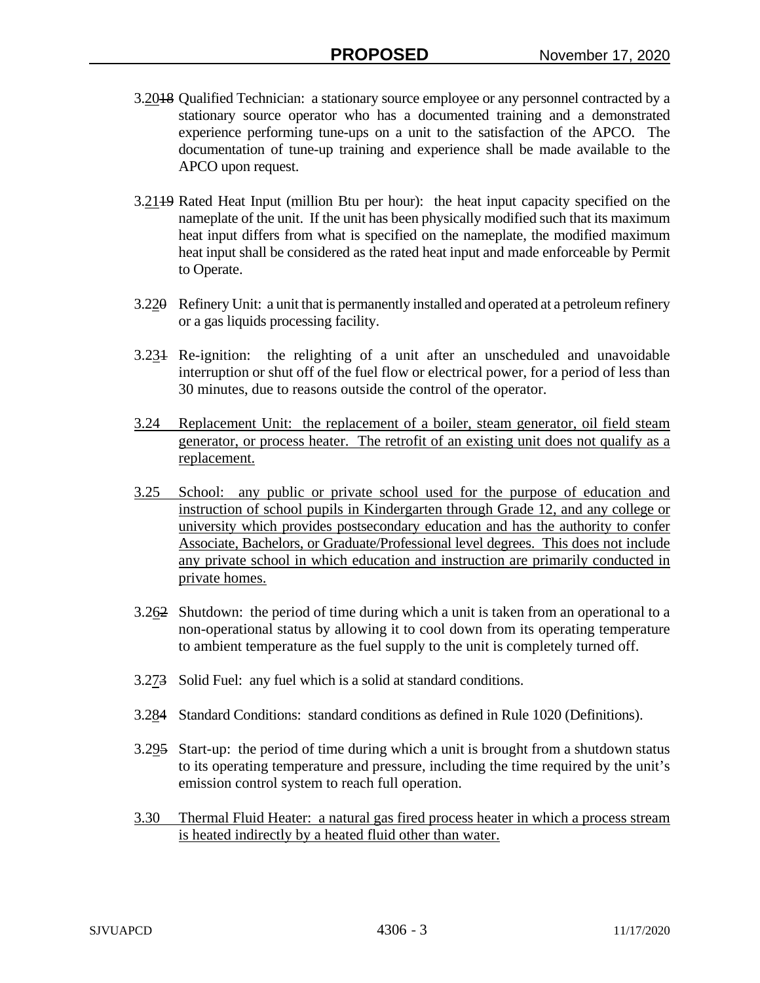- 3.2018 Qualified Technician: a stationary source employee or any personnel contracted by a stationary source operator who has a documented training and a demonstrated experience performing tune-ups on a unit to the satisfaction of the APCO. The documentation of tune-up training and experience shall be made available to the APCO upon request.
- 3.2119 Rated Heat Input (million Btu per hour): the heat input capacity specified on the nameplate of the unit. If the unit has been physically modified such that its maximum heat input differs from what is specified on the nameplate, the modified maximum heat input shall be considered as the rated heat input and made enforceable by Permit to Operate.
- 3.220 Refinery Unit: a unit that is permanently installed and operated at a petroleum refinery or a gas liquids processing facility.
- 3.231 Re-ignition: the relighting of a unit after an unscheduled and unavoidable interruption or shut off of the fuel flow or electrical power, for a period of less than 30 minutes, due to reasons outside the control of the operator.
- 3.24 Replacement Unit: the replacement of a boiler, steam generator, oil field steam generator, or process heater. The retrofit of an existing unit does not qualify as a replacement.
- 3.25 School: any public or private school used for the purpose of education and instruction of school pupils in Kindergarten through Grade 12, and any college or university which provides postsecondary education and has the authority to confer Associate, Bachelors, or Graduate/Professional level degrees. This does not include any private school in which education and instruction are primarily conducted in private homes.
- 3.262 Shutdown: the period of time during which a unit is taken from an operational to a non-operational status by allowing it to cool down from its operating temperature to ambient temperature as the fuel supply to the unit is completely turned off.
- 3.273 Solid Fuel: any fuel which is a solid at standard conditions.
- 3.284 Standard Conditions: standard conditions as defined in Rule 1020 (Definitions).
- 3.295 Start-up: the period of time during which a unit is brought from a shutdown status to its operating temperature and pressure, including the time required by the unit's emission control system to reach full operation.
- 3.30 Thermal Fluid Heater: a natural gas fired process heater in which a process stream is heated indirectly by a heated fluid other than water.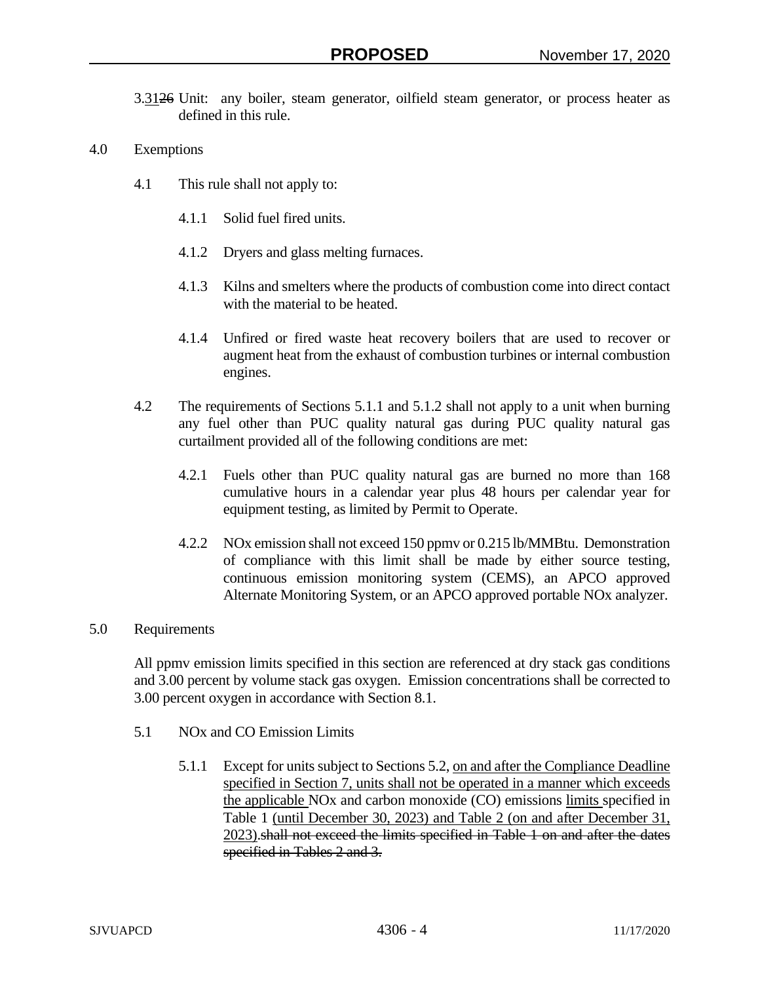- 3.3126 Unit: any boiler, steam generator, oilfield steam generator, or process heater as defined in this rule.
- 4.0 Exemptions
	- 4.1 This rule shall not apply to:
		- 4.1.1 Solid fuel fired units.
		- 4.1.2 Dryers and glass melting furnaces.
		- 4.1.3 Kilns and smelters where the products of combustion come into direct contact with the material to be heated.
		- 4.1.4 Unfired or fired waste heat recovery boilers that are used to recover or augment heat from the exhaust of combustion turbines or internal combustion engines.
	- 4.2 The requirements of Sections 5.1.1 and 5.1.2 shall not apply to a unit when burning any fuel other than PUC quality natural gas during PUC quality natural gas curtailment provided all of the following conditions are met:
		- 4.2.1 Fuels other than PUC quality natural gas are burned no more than 168 cumulative hours in a calendar year plus 48 hours per calendar year for equipment testing, as limited by Permit to Operate.
		- 4.2.2 NOx emission shall not exceed 150 ppmv or 0.215 lb/MMBtu. Demonstration of compliance with this limit shall be made by either source testing, continuous emission monitoring system (CEMS), an APCO approved Alternate Monitoring System, or an APCO approved portable NOx analyzer.

## 5.0 Requirements

All ppmv emission limits specified in this section are referenced at dry stack gas conditions and 3.00 percent by volume stack gas oxygen. Emission concentrations shall be corrected to 3.00 percent oxygen in accordance with Section 8.1.

- 5.1 NOx and CO Emission Limits
	- 5.1.1 Except for units subject to Sections 5.2, on and after the Compliance Deadline specified in Section 7, units shall not be operated in a manner which exceeds the applicable NOx and carbon monoxide (CO) emissions limits specified in Table 1 (until December 30, 2023) and Table 2 (on and after December 31, 2023).shall not exceed the limits specified in Table 1 on and after the dates specified in Tables 2 and 3.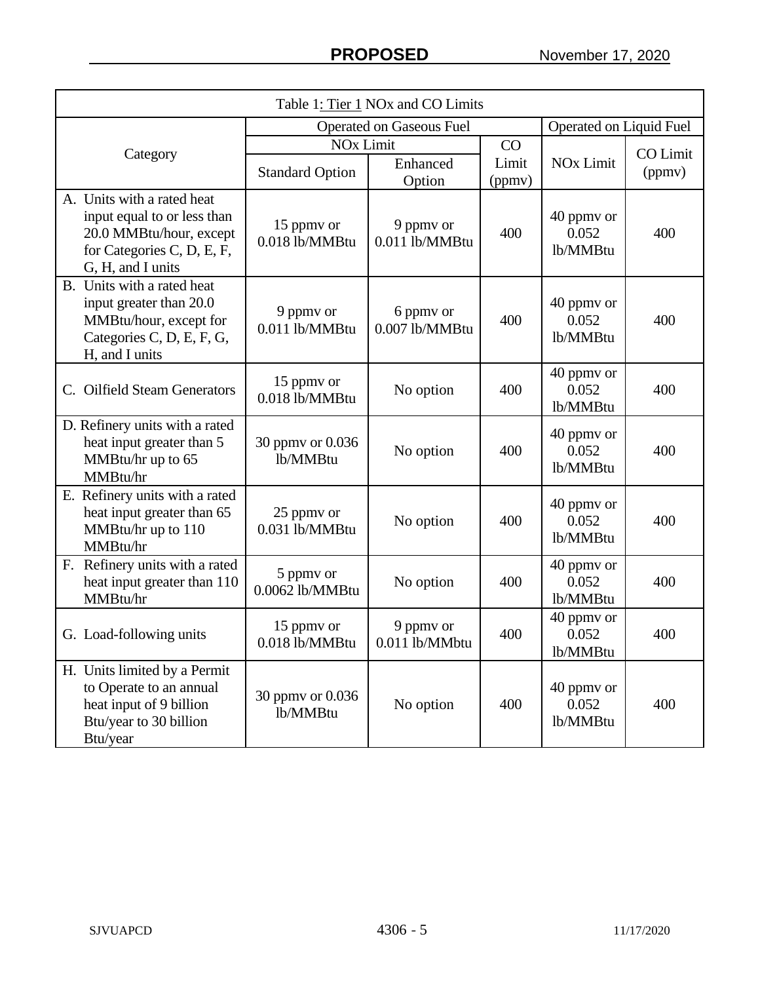| Table 1: Tier 1 NOx and CO Limits                                                                                                       |                                 |                                                                            |     |                                 |                           |
|-----------------------------------------------------------------------------------------------------------------------------------------|---------------------------------|----------------------------------------------------------------------------|-----|---------------------------------|---------------------------|
|                                                                                                                                         | <b>Operated on Gaseous Fuel</b> | Operated on Liquid Fuel                                                    |     |                                 |                           |
| Category                                                                                                                                | <b>Standard Option</b>          | <b>NO<sub>x</sub></b> Limit<br>CO<br>Limit<br>Enhanced<br>(ppmv)<br>Option |     | <b>NO<sub>x</sub></b> Limit     | <b>CO</b> Limit<br>(ppmv) |
| A. Units with a rated heat<br>input equal to or less than<br>20.0 MMBtu/hour, except<br>for Categories C, D, E, F,<br>G, H, and I units | 15 ppmy or<br>0.018 lb/MMBtu    | 9 ppmy or<br>0.011 lb/MMBtu                                                | 400 | 40 ppmy or<br>0.052<br>lb/MMBtu | 400                       |
| B. Units with a rated heat<br>input greater than 20.0<br>MMBtu/hour, except for<br>Categories C, D, E, F, G,<br>H, and I units          | 9 ppmv or<br>0.011 lb/MMBtu     | 6 ppmy or<br>0.007 lb/MMBtu                                                | 400 | 40 ppmy or<br>0.052<br>lb/MMBtu | 400                       |
| C. Oilfield Steam Generators                                                                                                            | 15 ppmy or<br>0.018 lb/MMBtu    | No option                                                                  | 400 | 40 ppmy or<br>0.052<br>lb/MMBtu | 400                       |
| D. Refinery units with a rated<br>heat input greater than 5<br>MMBtu/hr up to 65<br>MMBtu/hr                                            | 30 ppmy or 0.036<br>lb/MMBtu    | No option                                                                  | 400 | 40 ppmy or<br>0.052<br>lb/MMBtu | 400                       |
| E. Refinery units with a rated<br>heat input greater than 65<br>MMBtu/hr up to 110<br>MMBtu/hr                                          | 25 ppmy or<br>0.031 lb/MMBtu    | No option                                                                  | 400 | 40 ppmy or<br>0.052<br>lb/MMBtu | 400                       |
| F. Refinery units with a rated<br>heat input greater than 110<br>MMBtu/hr                                                               | 5 ppmy or<br>0.0062 lb/MMBtu    | No option                                                                  | 400 | 40 ppmv or<br>0.052<br>lb/MMBtu | 400                       |
| G. Load-following units                                                                                                                 | 15 ppmy or<br>0.018 lb/MMBtu    | 9 ppmy or<br>0.011 lb/MMbtu                                                | 400 | 40 ppmy or<br>0.052<br>lb/MMBtu | 400                       |
| H. Units limited by a Permit<br>to Operate to an annual<br>heat input of 9 billion<br>Btu/year to 30 billion<br>Btu/year                | 30 ppmy or 0.036<br>lb/MMBtu    | No option                                                                  | 400 | 40 ppmy or<br>0.052<br>lb/MMBtu | 400                       |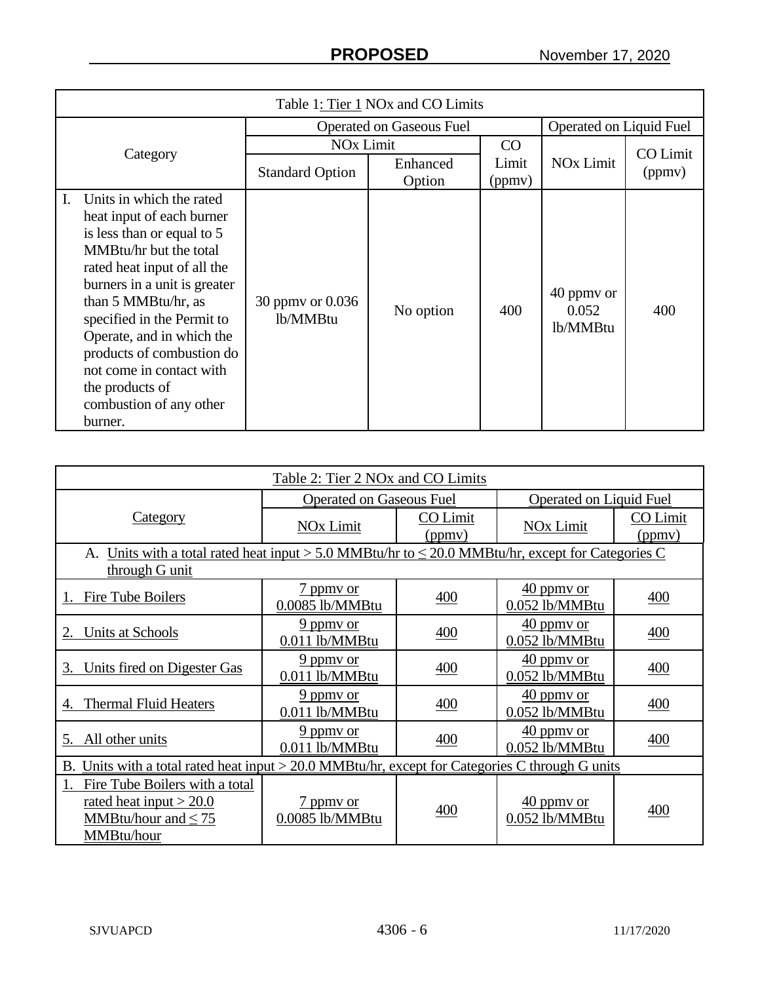| Table 1: Tier 1 NO <sub>x</sub> and CO Limits                                                                                                                                                                                                                                                                                                                                          |                              |                    |                 |                                 |                    |
|----------------------------------------------------------------------------------------------------------------------------------------------------------------------------------------------------------------------------------------------------------------------------------------------------------------------------------------------------------------------------------------|------------------------------|--------------------|-----------------|---------------------------------|--------------------|
| <b>Operated on Gaseous Fuel</b>                                                                                                                                                                                                                                                                                                                                                        |                              |                    |                 | Operated on Liquid Fuel         |                    |
|                                                                                                                                                                                                                                                                                                                                                                                        | <b>NO<sub>x</sub></b> Limit  |                    | CO              |                                 |                    |
| Category                                                                                                                                                                                                                                                                                                                                                                               | <b>Standard Option</b>       | Enhanced<br>Option | Limit<br>(ppmv) | <b>NO<sub>x</sub></b> Limit     | CO Limit<br>(ppmv) |
| Units in which the rated<br>L.<br>heat input of each burner<br>is less than or equal to 5<br>MMBtu/hr but the total<br>rated heat input of all the<br>burners in a unit is greater<br>than 5 MMBtu/hr, as<br>specified in the Permit to<br>Operate, and in which the<br>products of combustion do<br>not come in contact with<br>the products of<br>combustion of any other<br>burner. | 30 ppmy or 0.036<br>lb/MMBtu | No option          | 400             | 40 ppmy or<br>0.052<br>lb/MMBtu | 400                |

| Table 2: Tier 2 NOx and CO Limits                                                                      |                                 |                    |                                          |                    |  |
|--------------------------------------------------------------------------------------------------------|---------------------------------|--------------------|------------------------------------------|--------------------|--|
|                                                                                                        | <b>Operated on Gaseous Fuel</b> |                    | <b>Operated on Liquid Fuel</b>           |                    |  |
| <b>Category</b>                                                                                        | <b>NOx Limit</b>                | CO Limit<br>(ppmv) | <b>NOx Limit</b>                         | CO Limit<br>(ppmv) |  |
| A. Units with a total rated heat input > 5.0 MMBtu/hr to $\leq$ 20.0 MMBtu/hr, except for Categories C |                                 |                    |                                          |                    |  |
| through G unit                                                                                         |                                 |                    |                                          |                    |  |
| Fire Tube Boilers                                                                                      | 7 ppmy or<br>0.0085 lb/MMBtu    | 400                | $\frac{40}{2}$ ppmy or<br>0.052 lb/MMBtu | 400                |  |
| Units at Schools<br>2.                                                                                 | 9 ppmy or<br>0.011 lb/MMBtu     | 400                | $\frac{40}{2}$ ppmy or<br>0.052 lb/MMBtu | 400                |  |
| Units fired on Digester Gas<br>3.                                                                      | 9 ppmy or<br>0.011 lb/MMBtu     | 400                | 40 ppmy or<br>0.052 lb/MMBtu             | 400                |  |
| <b>Thermal Fluid Heaters</b>                                                                           | 9 ppmy or<br>0.011 lb/MMBtu     | 400                | $\frac{40}{2}$ ppmy or<br>0.052 lb/MMBtu | 400                |  |
| All other units<br>5.                                                                                  | 9 ppmy or<br>0.011 lb/MMBtu     | 400                | $\frac{40}{2}$ ppmy or<br>0.052 lb/MMBtu | 400                |  |
| B. Units with a total rated heat input > 20.0 MMBtu/hr, except for Categories C through G units        |                                 |                    |                                          |                    |  |
| Fire Tube Boilers with a total<br>rated heat input $> 20.0$<br>MMBtu/hour and $\leq 75$<br>MMBtu/hour  | 7 ppmy or<br>0.0085 lb/MMBtu    | 400                | 40 ppmy or<br>0.052 lb/MMBtu             | 400                |  |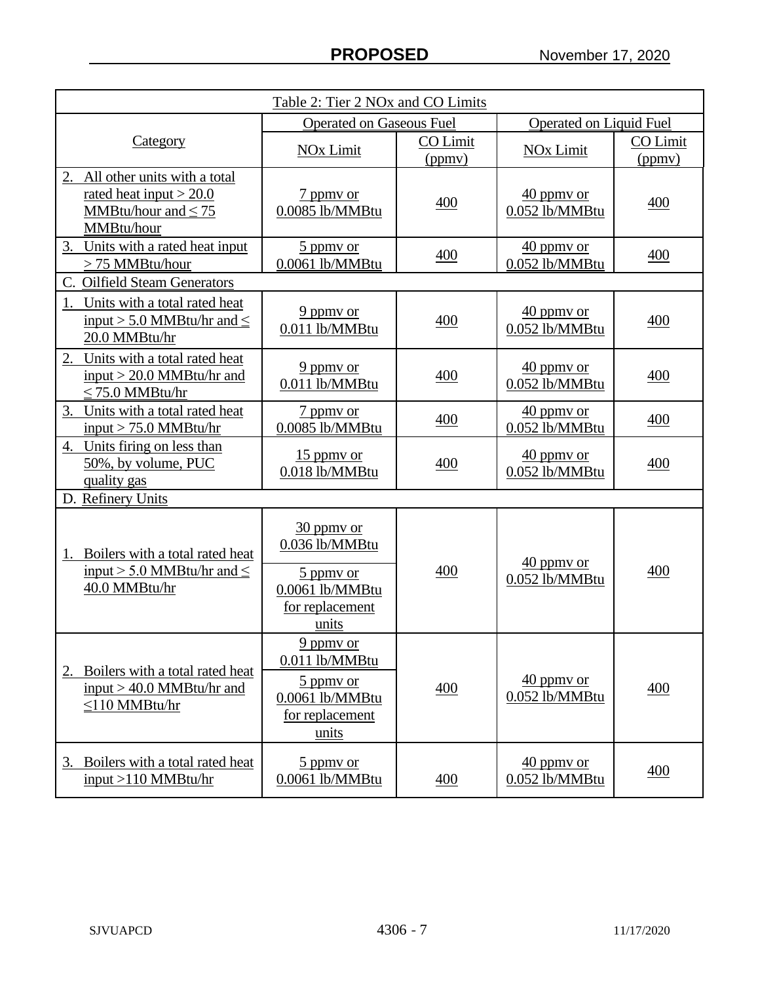| Table 2: Tier 2 NOx and CO Limits                                                                      |                                                          |                    |                                          |                    |  |
|--------------------------------------------------------------------------------------------------------|----------------------------------------------------------|--------------------|------------------------------------------|--------------------|--|
|                                                                                                        | <b>Operated on Gaseous Fuel</b>                          |                    | <b>Operated on Liquid Fuel</b>           |                    |  |
| <b>Category</b>                                                                                        | <b>NOx Limit</b>                                         | CO Limit<br>(ppmv) | <b>NOx Limit</b>                         | CO Limit<br>(ppmv) |  |
| 2. All other units with a total<br>rated heat input $>$ 20.0<br>MMBtu/hour and $\leq 75$<br>MMBtu/hour | 7 ppmy or<br>0.0085 lb/MMBtu                             | 400                | $\frac{40}{2}$ ppmy or<br>0.052 lb/MMBtu | 400                |  |
| Units with a rated heat input<br>3.<br>> 75 MMBtu/hour                                                 | 5 ppmy or<br>0.0061 lb/MMBtu                             | 400                | $40$ ppmy or<br>0.052 lb/MMBtu           | 400                |  |
| C. Oilfield Steam Generators                                                                           |                                                          |                    |                                          |                    |  |
| Units with a total rated heat<br>input > 5.0 MMBtu/hr and $\leq$<br>20.0 MMBtu/hr                      | $9$ ppmy or<br>0.011 lb/MMBtu                            | 400                | $40$ ppmy or<br>0.052 lb/MMBtu           | 400                |  |
| Units with a total rated heat<br>2.<br>input $>$ 20.0 MMBtu/hr and<br>$\leq$ 75.0 MMBtu/hr             | $9$ ppmy or<br>0.011 lb/MMBtu                            | 400                | $40$ ppmy or<br>0.052 lb/MMBtu           | 400                |  |
| Units with a total rated heat<br>3.<br>$input > 75.0$ MMBtu/hr                                         | 7 ppmy or<br>0.0085 lb/MMBtu                             | 400                | $\frac{40}{2}$ ppmy or<br>0.052 lb/MMBtu | 400                |  |
| 4. Units firing on less than<br>50%, by volume, PUC<br>quality gas                                     | $15$ ppmy or<br>0.018 lb/MMBtu                           | 400                | $\frac{40}{2}$ ppmy or<br>0.052 lb/MMBtu | 400                |  |
| D. Refinery Units                                                                                      |                                                          |                    |                                          |                    |  |
| Boilers with a total rated heat<br>1.<br>input > 5.0 MMBtu/hr and $\leq$                               | 30 ppmy or<br>0.036 lb/MMBtu                             | 400                | $40$ ppmy or                             | 400                |  |
| 40.0 MMBtu/hr                                                                                          | 5 ppmy or<br>0.0061 lb/MMBtu<br>for replacement<br>units |                    | 0.052 lb/MMBtu                           |                    |  |
| Boilers with a total rated heat                                                                        | $9$ ppmy or<br>0.011 lb/MMBtu                            |                    |                                          |                    |  |
| $input > 40.0$ MMBtu/hr and<br>$\leq$ 110 MMBtu/hr                                                     | 5 ppmy or<br>0.0061 lb/MMBtu<br>for replacement<br>units | 400                | $40$ ppmy or<br>0.052 lb/MMBtu           | 400                |  |
| Boilers with a total rated heat<br>3.<br>input $>110$ MMBtu/hr                                         | 5 ppmy or<br>0.0061 lb/MMBtu                             | 400                | 40 ppmy or<br>0.052 lb/MMBtu             | 400                |  |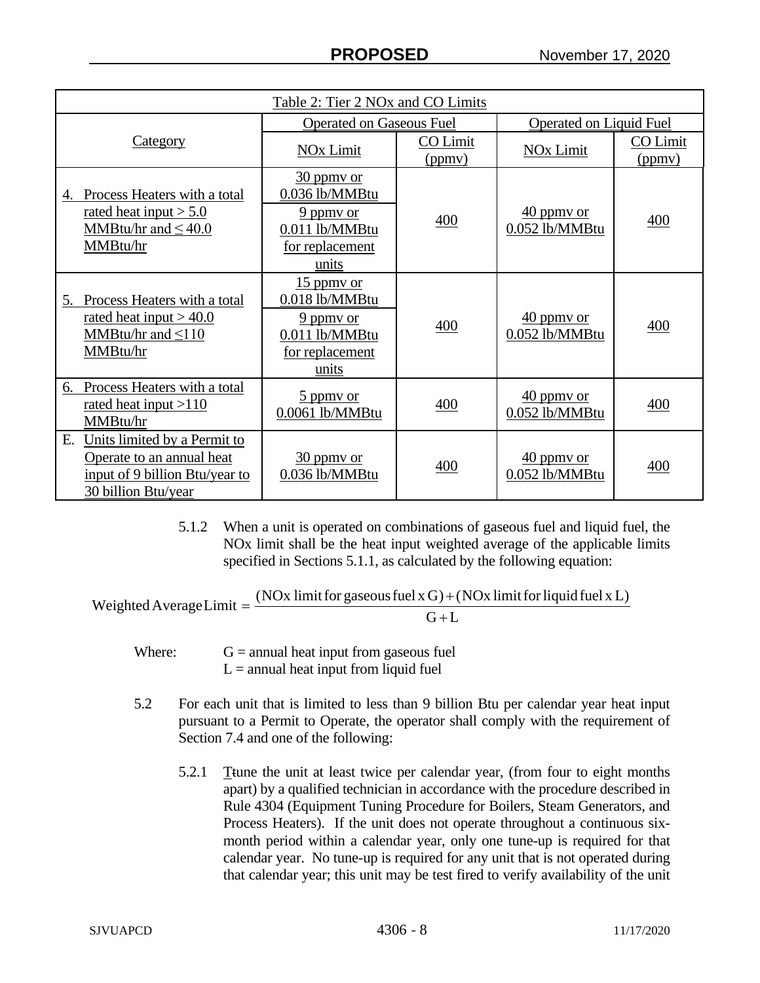| Table 2: Tier 2 NOx and CO Limits                                                                                        |                                                                                               |                    |                                          |                    |
|--------------------------------------------------------------------------------------------------------------------------|-----------------------------------------------------------------------------------------------|--------------------|------------------------------------------|--------------------|
|                                                                                                                          | <b>Operated on Gaseous Fuel</b>                                                               |                    | <b>Operated on Liquid Fuel</b>           |                    |
| <b>Category</b>                                                                                                          | <b>NOx Limit</b>                                                                              | CO Limit<br>(ppmv) | <b>NOx Limit</b>                         | CO Limit<br>(ppmv) |
| 4. Process Heaters with a total<br>rated heat input $> 5.0$<br>MMBtu/hr and $\leq 40.0$<br>MMBtu/hr                      | 30 ppmy or<br>0.036 lb/MMBtu<br>9 ppmy or<br>$0.011$ lb/ $M$ MBtu<br>for replacement<br>units | 400                | $\frac{40}{2}$ ppmy or<br>0.052 lb/MMBtu | 400                |
| Process Heaters with a total<br>5.<br>rated heat input $> 40.0$<br>MMBtu/hr and $\leq 110$<br>MMBtu/hr                   | $15$ ppmy or<br>0.018 lb/MMBtu<br>9 ppmy or<br>0.011 lb/MMBtu<br>for replacement<br>units     | 400                | $\frac{40}{2}$ ppmy or<br>0.052 lb/MMBtu | 400                |
| Process Heaters with a total<br>6.<br>rated heat input $>110$<br>MMBtu/hr                                                | 5 ppmy or<br>$0.0061$ lb/MMBtu                                                                | 400                | 40 ppmy or<br>0.052 lb/MMBtu             | 400                |
| Units limited by a Permit to<br>Е.<br>Operate to an annual heat<br>input of 9 billion Btu/year to<br>30 billion Btu/year | $30$ ppmy or<br>0.036 lb/MMBtu                                                                | 400                | $\frac{40}{2}$ ppmy or<br>0.052 lb/MMBtu | 400                |

5.1.2 When a unit is operated on combinations of gaseous fuel and liquid fuel, the NOx limit shall be the heat input weighted average of the applicable limits specified in Sections 5.1.1, as calculated by the following equation:

 $G+L$ Weighted Average Limit  $=\frac{(NOx \text{ limit for gaseous fuel x G}) + (NOx \text{ limit for liquid fuel x L})}{G}$ +  $=\frac{(NQx \text{ limit for gaseous fuel} x G)+}{T}$ 

- Where:  $G =$  annual heat input from gaseous fuel  $L =$  annual heat input from liquid fuel
- 5.2 For each unit that is limited to less than 9 billion Btu per calendar year heat input pursuant to a Permit to Operate, the operator shall comply with the requirement of Section 7.4 and one of the following:
	- 5.2.1 Ttune the unit at least twice per calendar year, (from four to eight months apart) by a qualified technician in accordance with the procedure described in Rule 4304 (Equipment Tuning Procedure for Boilers, Steam Generators, and Process Heaters). If the unit does not operate throughout a continuous sixmonth period within a calendar year, only one tune-up is required for that calendar year. No tune-up is required for any unit that is not operated during that calendar year; this unit may be test fired to verify availability of the unit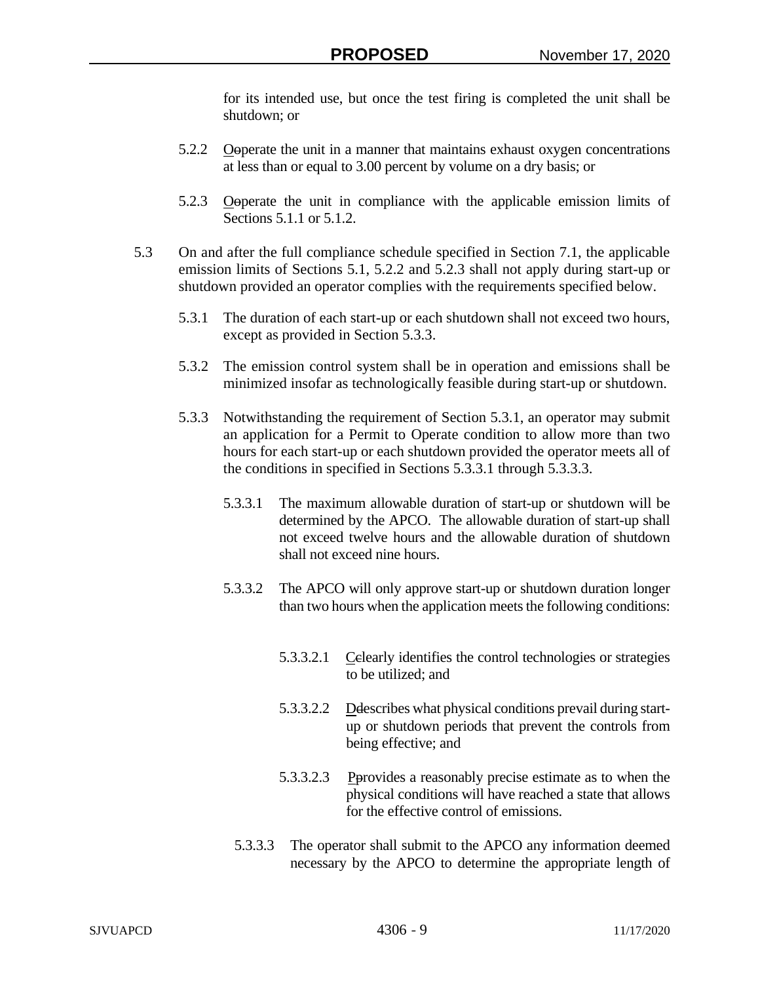for its intended use, but once the test firing is completed the unit shall be shutdown; or

- 5.2.2 Observate the unit in a manner that maintains exhaust oxygen concentrations at less than or equal to 3.00 percent by volume on a dry basis; or
- 5.2.3 Ooperate the unit in compliance with the applicable emission limits of Sections 5.1.1 or 5.1.2.
- 5.3 On and after the full compliance schedule specified in Section 7.1, the applicable emission limits of Sections 5.1, 5.2.2 and 5.2.3 shall not apply during start-up or shutdown provided an operator complies with the requirements specified below.
	- 5.3.1 The duration of each start-up or each shutdown shall not exceed two hours, except as provided in Section 5.3.3.
	- 5.3.2 The emission control system shall be in operation and emissions shall be minimized insofar as technologically feasible during start-up or shutdown.
	- 5.3.3 Notwithstanding the requirement of Section 5.3.1, an operator may submit an application for a Permit to Operate condition to allow more than two hours for each start-up or each shutdown provided the operator meets all of the conditions in specified in Sections 5.3.3.1 through 5.3.3.3.
		- 5.3.3.1 The maximum allowable duration of start-up or shutdown will be determined by the APCO. The allowable duration of start-up shall not exceed twelve hours and the allowable duration of shutdown shall not exceed nine hours.
		- 5.3.3.2 The APCO will only approve start-up or shutdown duration longer than two hours when the application meets the following conditions:
			- 5.3.3.2.1 Celearly identifies the control technologies or strategies to be utilized; and
			- 5.3.3.2.2 Delescribes what physical conditions prevail during startup or shutdown periods that prevent the controls from being effective; and
			- 5.3.3.2.3 Perovides a reasonably precise estimate as to when the physical conditions will have reached a state that allows for the effective control of emissions.
			- 5.3.3.3 The operator shall submit to the APCO any information deemed necessary by the APCO to determine the appropriate length of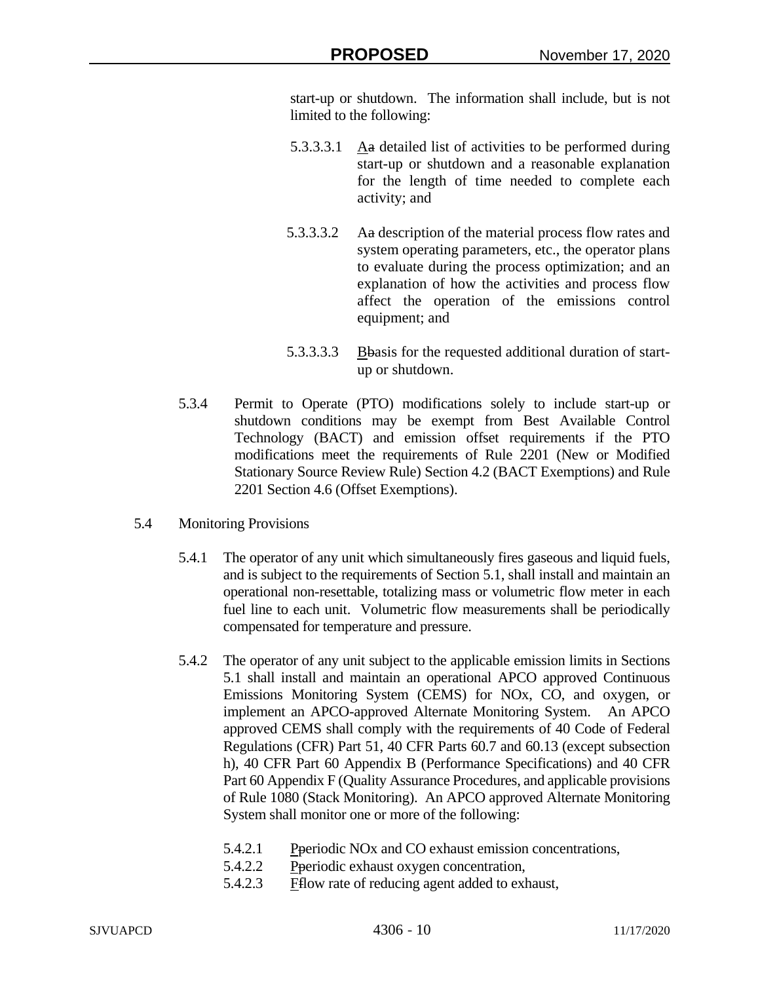start-up or shutdown. The information shall include, but is not limited to the following:

- 5.3.3.3.1 Aa detailed list of activities to be performed during start-up or shutdown and a reasonable explanation for the length of time needed to complete each activity; and
- 5.3.3.3.2 Aa description of the material process flow rates and system operating parameters, etc., the operator plans to evaluate during the process optimization; and an explanation of how the activities and process flow affect the operation of the emissions control equipment; and
- 5.3.3.3.3 Bbasis for the requested additional duration of startup or shutdown.
- 5.3.4 Permit to Operate (PTO) modifications solely to include start-up or shutdown conditions may be exempt from Best Available Control Technology (BACT) and emission offset requirements if the PTO modifications meet the requirements of Rule 2201 (New or Modified Stationary Source Review Rule) Section 4.2 (BACT Exemptions) and Rule 2201 Section 4.6 (Offset Exemptions).
- 5.4 Monitoring Provisions
	- 5.4.1 The operator of any unit which simultaneously fires gaseous and liquid fuels, and is subject to the requirements of Section 5.1, shall install and maintain an operational non-resettable, totalizing mass or volumetric flow meter in each fuel line to each unit. Volumetric flow measurements shall be periodically compensated for temperature and pressure.
	- 5.4.2 The operator of any unit subject to the applicable emission limits in Sections 5.1 shall install and maintain an operational APCO approved Continuous Emissions Monitoring System (CEMS) for NOx, CO, and oxygen, or implement an APCO-approved Alternate Monitoring System. An APCO approved CEMS shall comply with the requirements of 40 Code of Federal Regulations (CFR) Part 51, 40 CFR Parts 60.7 and 60.13 (except subsection h), 40 CFR Part 60 Appendix B (Performance Specifications) and 40 CFR Part 60 Appendix F (Quality Assurance Procedures, and applicable provisions of Rule 1080 (Stack Monitoring). An APCO approved Alternate Monitoring System shall monitor one or more of the following:
		- 5.4.2.1 Pperiodic NOx and CO exhaust emission concentrations,
		- 5.4.2.2 Pperiodic exhaust oxygen concentration,
		- 5.4.2.3 Fflow rate of reducing agent added to exhaust,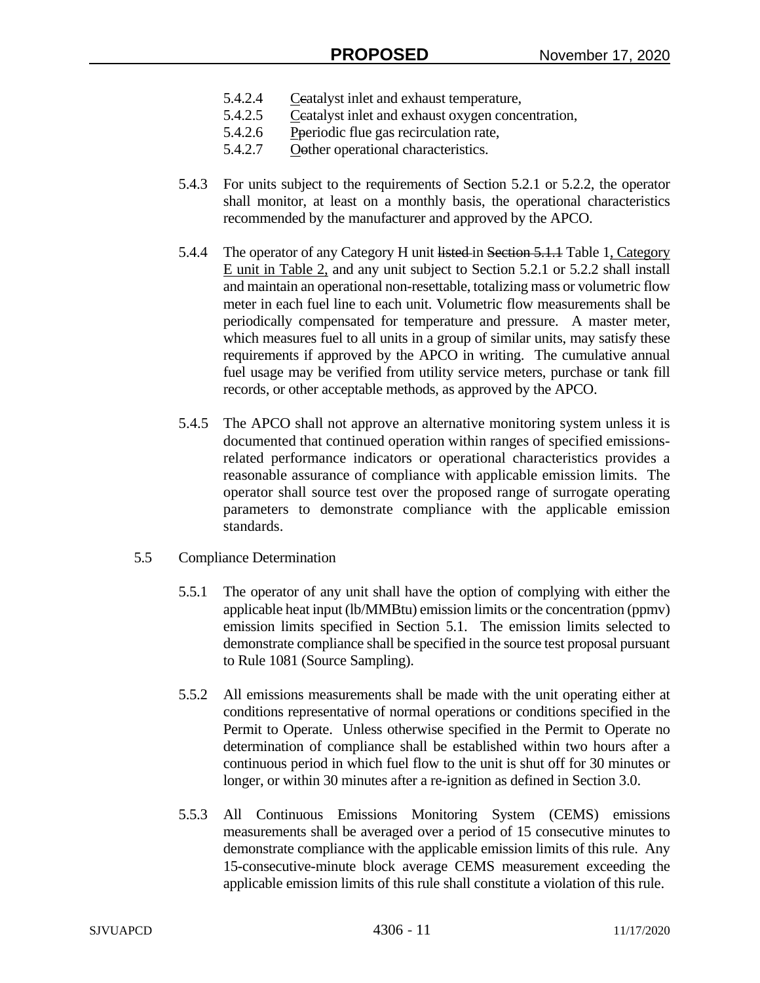- 5.4.2.4 Ceatalyst inlet and exhaust temperature,
- 5.4.2.5 Ceatalyst inlet and exhaust oxygen concentration,
- 5.4.2.6 Pperiodic flue gas recirculation rate,
- 5.4.2.7 Oother operational characteristics.
- 5.4.3 For units subject to the requirements of Section 5.2.1 or 5.2.2, the operator shall monitor, at least on a monthly basis, the operational characteristics recommended by the manufacturer and approved by the APCO.
- 5.4.4 The operator of any Category H unit listed in Section 5.1.1 Table 1, Category E unit in Table 2, and any unit subject to Section 5.2.1 or 5.2.2 shall install and maintain an operational non-resettable, totalizing mass or volumetric flow meter in each fuel line to each unit. Volumetric flow measurements shall be periodically compensated for temperature and pressure. A master meter, which measures fuel to all units in a group of similar units, may satisfy these requirements if approved by the APCO in writing. The cumulative annual fuel usage may be verified from utility service meters, purchase or tank fill records, or other acceptable methods, as approved by the APCO.
- 5.4.5 The APCO shall not approve an alternative monitoring system unless it is documented that continued operation within ranges of specified emissionsrelated performance indicators or operational characteristics provides a reasonable assurance of compliance with applicable emission limits. The operator shall source test over the proposed range of surrogate operating parameters to demonstrate compliance with the applicable emission standards.
- 5.5 Compliance Determination
	- 5.5.1 The operator of any unit shall have the option of complying with either the applicable heat input (lb/MMBtu) emission limits or the concentration (ppmv) emission limits specified in Section 5.1. The emission limits selected to demonstrate compliance shall be specified in the source test proposal pursuant to Rule 1081 (Source Sampling).
	- 5.5.2 All emissions measurements shall be made with the unit operating either at conditions representative of normal operations or conditions specified in the Permit to Operate. Unless otherwise specified in the Permit to Operate no determination of compliance shall be established within two hours after a continuous period in which fuel flow to the unit is shut off for 30 minutes or longer, or within 30 minutes after a re-ignition as defined in Section 3.0.
	- 5.5.3 All Continuous Emissions Monitoring System (CEMS) emissions measurements shall be averaged over a period of 15 consecutive minutes to demonstrate compliance with the applicable emission limits of this rule. Any 15-consecutive-minute block average CEMS measurement exceeding the applicable emission limits of this rule shall constitute a violation of this rule.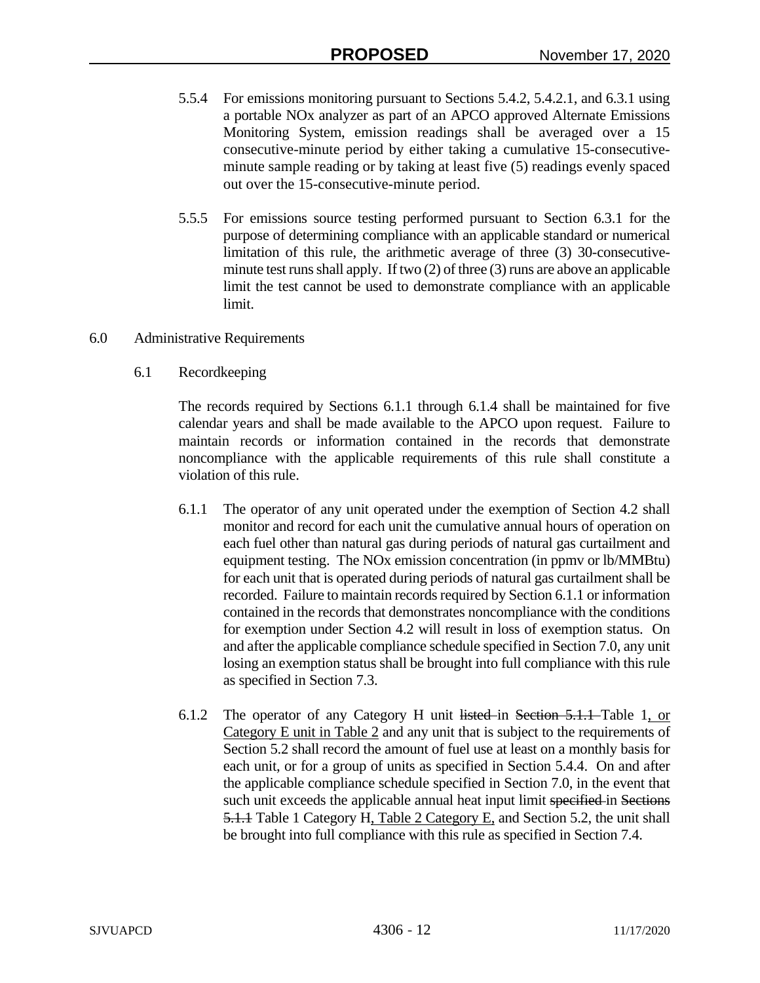- 5.5.4 For emissions monitoring pursuant to Sections 5.4.2, 5.4.2.1, and 6.3.1 using a portable NOx analyzer as part of an APCO approved Alternate Emissions Monitoring System, emission readings shall be averaged over a 15 consecutive-minute period by either taking a cumulative 15-consecutiveminute sample reading or by taking at least five (5) readings evenly spaced out over the 15-consecutive-minute period.
- 5.5.5 For emissions source testing performed pursuant to Section 6.3.1 for the purpose of determining compliance with an applicable standard or numerical limitation of this rule, the arithmetic average of three (3) 30-consecutiveminute test runs shall apply. If two (2) of three (3) runs are above an applicable limit the test cannot be used to demonstrate compliance with an applicable limit.
- 6.0 Administrative Requirements
	- 6.1 Recordkeeping

The records required by Sections 6.1.1 through 6.1.4 shall be maintained for five calendar years and shall be made available to the APCO upon request. Failure to maintain records or information contained in the records that demonstrate noncompliance with the applicable requirements of this rule shall constitute a violation of this rule.

- 6.1.1 The operator of any unit operated under the exemption of Section 4.2 shall monitor and record for each unit the cumulative annual hours of operation on each fuel other than natural gas during periods of natural gas curtailment and equipment testing. The NOx emission concentration (in ppmv or lb/MMBtu) for each unit that is operated during periods of natural gas curtailment shall be recorded. Failure to maintain records required by Section 6.1.1 or information contained in the records that demonstrates noncompliance with the conditions for exemption under Section 4.2 will result in loss of exemption status. On and after the applicable compliance schedule specified in Section 7.0, any unit losing an exemption status shall be brought into full compliance with this rule as specified in Section 7.3.
- 6.1.2 The operator of any Category H unit listed in Section 5.1.1 Table 1, or Category E unit in Table 2 and any unit that is subject to the requirements of Section 5.2 shall record the amount of fuel use at least on a monthly basis for each unit, or for a group of units as specified in Section 5.4.4. On and after the applicable compliance schedule specified in Section 7.0, in the event that such unit exceeds the applicable annual heat input limit specified in Sections 5.1.1 Table 1 Category H, Table 2 Category E, and Section 5.2, the unit shall be brought into full compliance with this rule as specified in Section 7.4.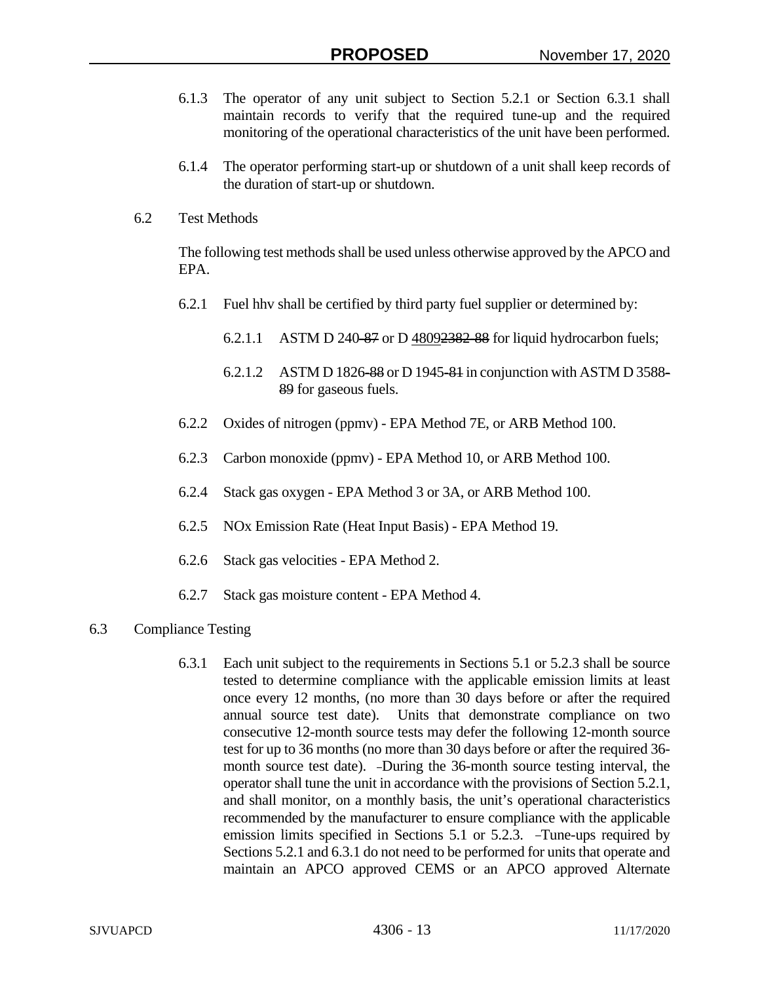- 6.1.3 The operator of any unit subject to Section 5.2.1 or Section 6.3.1 shall maintain records to verify that the required tune-up and the required monitoring of the operational characteristics of the unit have been performed.
- 6.1.4 The operator performing start-up or shutdown of a unit shall keep records of the duration of start-up or shutdown.
- 6.2 Test Methods

The following test methods shall be used unless otherwise approved by the APCO and EPA.

- 6.2.1 Fuel hhv shall be certified by third party fuel supplier or determined by:
	- 6.2.1.1 ASTM D 240-87 or D 48092382-88 for liquid hydrocarbon fuels;
	- 6.2.1.2 ASTM D 1826-88 or D 1945-81 in conjunction with ASTM D 3588- 89 for gaseous fuels.
- 6.2.2 Oxides of nitrogen (ppmv) EPA Method 7E, or ARB Method 100.
- 6.2.3 Carbon monoxide (ppmv) EPA Method 10, or ARB Method 100.
- 6.2.4 Stack gas oxygen EPA Method 3 or 3A, or ARB Method 100.
- 6.2.5 NOx Emission Rate (Heat Input Basis) EPA Method 19.
- 6.2.6 Stack gas velocities EPA Method 2.
- 6.2.7 Stack gas moisture content EPA Method 4.
- 6.3 Compliance Testing
	- 6.3.1 Each unit subject to the requirements in Sections 5.1 or 5.2.3 shall be source tested to determine compliance with the applicable emission limits at least once every 12 months, (no more than 30 days before or after the required annual source test date). Units that demonstrate compliance on two consecutive 12-month source tests may defer the following 12-month source test for up to 36 months (no more than 30 days before or after the required 36 month source test date). -During the 36-month source testing interval, the operator shall tune the unit in accordance with the provisions of Section 5.2.1, and shall monitor, on a monthly basis, the unit's operational characteristics recommended by the manufacturer to ensure compliance with the applicable emission limits specified in Sections 5.1 or 5.2.3. Tune-ups required by Sections 5.2.1 and 6.3.1 do not need to be performed for units that operate and maintain an APCO approved CEMS or an APCO approved Alternate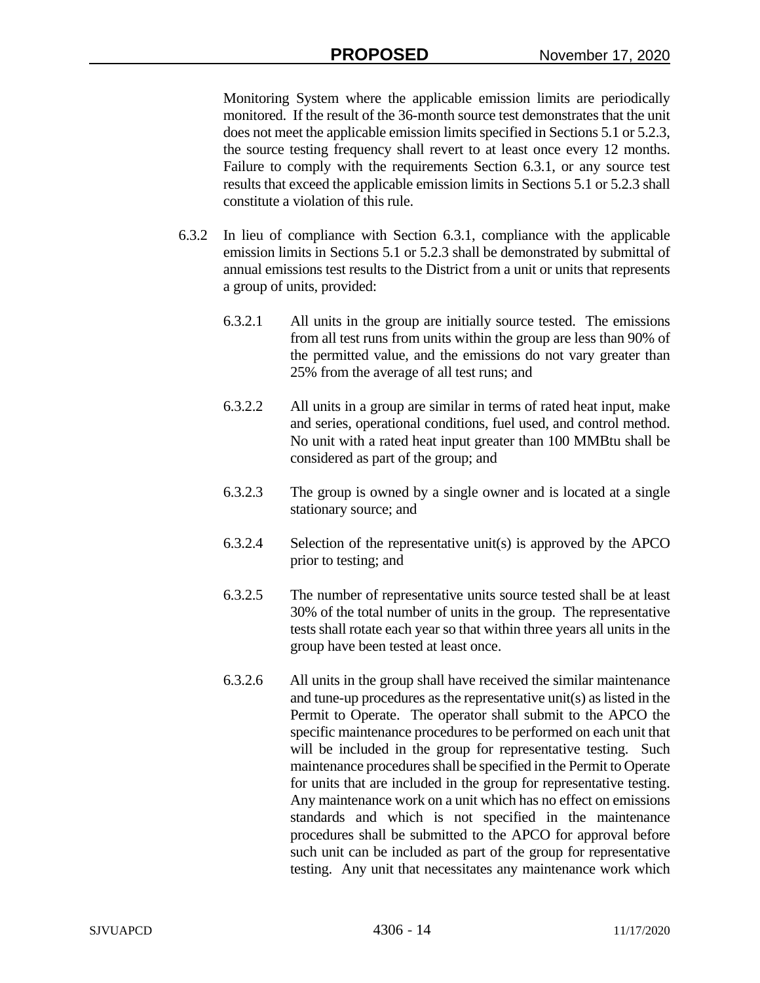Monitoring System where the applicable emission limits are periodically monitored. If the result of the 36-month source test demonstrates that the unit does not meet the applicable emission limits specified in Sections 5.1 or 5.2.3, the source testing frequency shall revert to at least once every 12 months. Failure to comply with the requirements Section 6.3.1, or any source test results that exceed the applicable emission limits in Sections 5.1 or 5.2.3 shall constitute a violation of this rule.

- 6.3.2 In lieu of compliance with Section 6.3.1, compliance with the applicable emission limits in Sections 5.1 or 5.2.3 shall be demonstrated by submittal of annual emissions test results to the District from a unit or units that represents a group of units, provided:
	- 6.3.2.1 All units in the group are initially source tested. The emissions from all test runs from units within the group are less than 90% of the permitted value, and the emissions do not vary greater than 25% from the average of all test runs; and
	- 6.3.2.2 All units in a group are similar in terms of rated heat input, make and series, operational conditions, fuel used, and control method. No unit with a rated heat input greater than 100 MMBtu shall be considered as part of the group; and
	- 6.3.2.3 The group is owned by a single owner and is located at a single stationary source; and
	- 6.3.2.4 Selection of the representative unit(s) is approved by the APCO prior to testing; and
	- 6.3.2.5 The number of representative units source tested shall be at least 30% of the total number of units in the group. The representative tests shall rotate each year so that within three years all units in the group have been tested at least once.
	- 6.3.2.6 All units in the group shall have received the similar maintenance and tune-up procedures as the representative unit(s) as listed in the Permit to Operate. The operator shall submit to the APCO the specific maintenance procedures to be performed on each unit that will be included in the group for representative testing. Such maintenance procedures shall be specified in the Permit to Operate for units that are included in the group for representative testing. Any maintenance work on a unit which has no effect on emissions standards and which is not specified in the maintenance procedures shall be submitted to the APCO for approval before such unit can be included as part of the group for representative testing. Any unit that necessitates any maintenance work which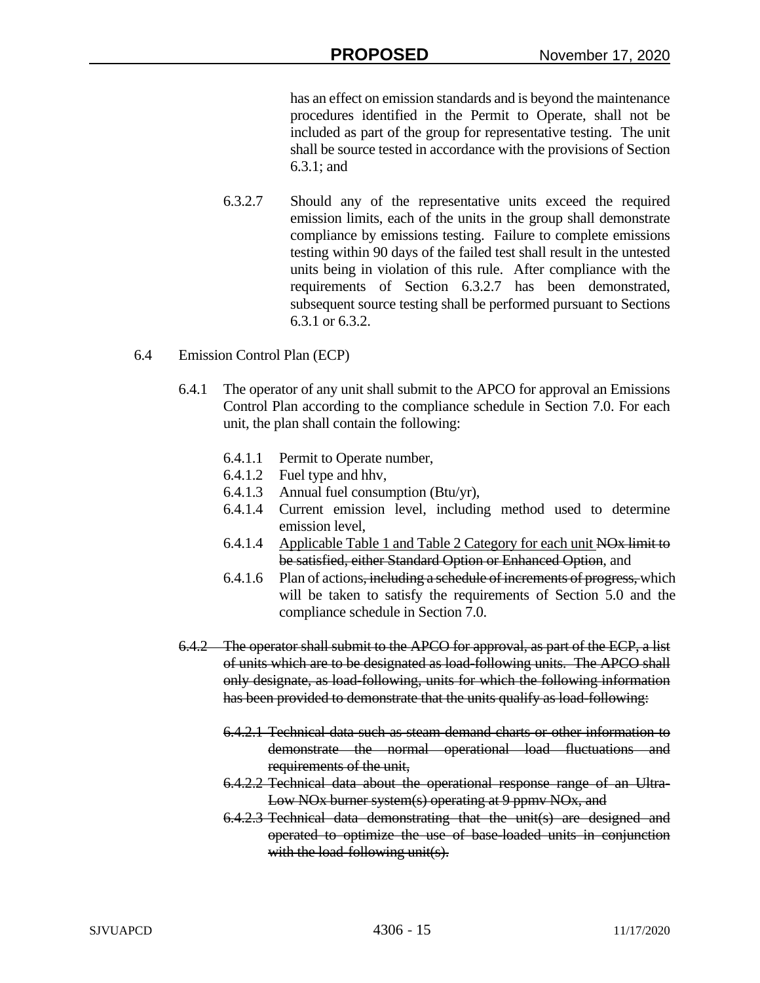has an effect on emission standards and is beyond the maintenance procedures identified in the Permit to Operate, shall not be included as part of the group for representative testing. The unit shall be source tested in accordance with the provisions of Section 6.3.1; and

- 6.3.2.7 Should any of the representative units exceed the required emission limits, each of the units in the group shall demonstrate compliance by emissions testing. Failure to complete emissions testing within 90 days of the failed test shall result in the untested units being in violation of this rule. After compliance with the requirements of Section 6.3.2.7 has been demonstrated, subsequent source testing shall be performed pursuant to Sections 6.3.1 or 6.3.2.
- 6.4 Emission Control Plan (ECP)
	- 6.4.1 The operator of any unit shall submit to the APCO for approval an Emissions Control Plan according to the compliance schedule in Section 7.0. For each unit, the plan shall contain the following:
		- 6.4.1.1 Permit to Operate number,
		- 6.4.1.2 Fuel type and hhv,
		- 6.4.1.3 Annual fuel consumption (Btu/yr),
		- 6.4.1.4 Current emission level, including method used to determine emission level,
		- 6.4.1.4 Applicable Table 1 and Table 2 Category for each unit NOx limit to be satisfied, either Standard Option or Enhanced Option, and
		- 6.4.1.6 Plan of actions, including a schedule of increments of progress, which will be taken to satisfy the requirements of Section 5.0 and the compliance schedule in Section 7.0.
	- 6.4.2 The operator shall submit to the APCO for approval, as part of the ECP, a list of units which are to be designated as load-following units. The APCO shall only designate, as load-following, units for which the following information has been provided to demonstrate that the units qualify as load-following:
		- 6.4.2.1 Technical data such as steam demand charts or other information to demonstrate the normal operational load fluctuations and requirements of the unit,
		- 6.4.2.2 Technical data about the operational response range of an Ultra-Low NO<sub>x</sub> burner system(s) operating at 9 ppmv NO<sub>x</sub>, and
		- 6.4.2.3 Technical data demonstrating that the unit(s) are designed and operated to optimize the use of base-loaded units in conjunction with the load-following unit(s).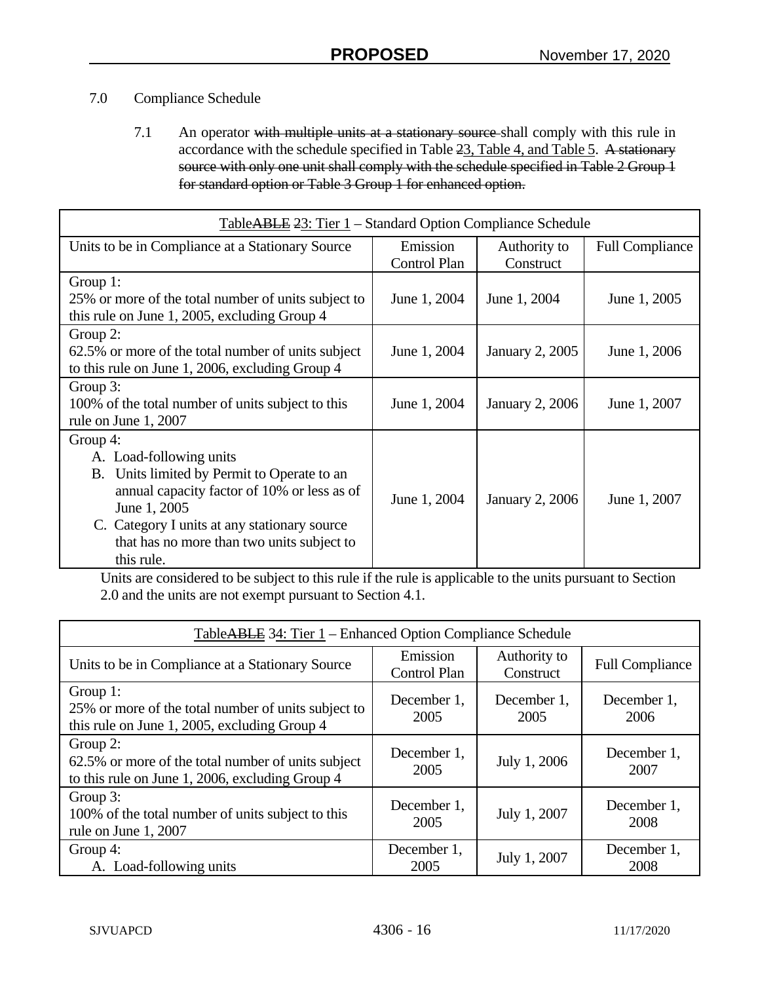## 7.0 Compliance Schedule

7.1 An operator with multiple units at a stationary source-shall comply with this rule in accordance with the schedule specified in Table 23, Table 4, and Table 5. A stationary source with only one unit shall comply with the schedule specified in Table 2 Group 1 for standard option or Table 3 Group 1 for enhanced option.

| TableABLE 23: Tier 1 - Standard Option Compliance Schedule |              |                        |                        |  |
|------------------------------------------------------------|--------------|------------------------|------------------------|--|
| Units to be in Compliance at a Stationary Source           | Emission     | Authority to           | <b>Full Compliance</b> |  |
|                                                            | Control Plan | Construct              |                        |  |
| Group 1:                                                   |              |                        |                        |  |
| 25% or more of the total number of units subject to        | June 1, 2004 | June 1, 2004           | June 1, 2005           |  |
| this rule on June 1, 2005, excluding Group 4               |              |                        |                        |  |
| Group 2:                                                   |              |                        |                        |  |
| 62.5% or more of the total number of units subject         | June 1, 2004 | <b>January 2, 2005</b> | June 1, 2006           |  |
| to this rule on June 1, 2006, excluding Group 4            |              |                        |                        |  |
| Group 3:                                                   |              |                        |                        |  |
| 100% of the total number of units subject to this          | June 1, 2004 | <b>January 2, 2006</b> | June 1, 2007           |  |
| rule on June 1, 2007                                       |              |                        |                        |  |
| Group 4:                                                   |              |                        |                        |  |
| A. Load-following units                                    |              |                        |                        |  |
| Units limited by Permit to Operate to an<br><b>B.</b>      |              |                        |                        |  |
| annual capacity factor of 10% or less as of                | June 1, 2004 | <b>January 2, 2006</b> | June 1, 2007           |  |
| June 1, 2005                                               |              |                        |                        |  |
| C. Category I units at any stationary source               |              |                        |                        |  |
| that has no more than two units subject to                 |              |                        |                        |  |
| this rule.                                                 |              |                        |                        |  |

Units are considered to be subject to this rule if the rule is applicable to the units pursuant to Section 2.0 and the units are not exempt pursuant to Section 4.1.

| TableABLE 34: Tier 1 – Enhanced Option Compliance Schedule                                                        |                                 |                           |                        |  |
|-------------------------------------------------------------------------------------------------------------------|---------------------------------|---------------------------|------------------------|--|
| Units to be in Compliance at a Stationary Source                                                                  | Emission<br><b>Control Plan</b> | Authority to<br>Construct | <b>Full Compliance</b> |  |
| Group 1:<br>25% or more of the total number of units subject to<br>this rule on June 1, 2005, excluding Group 4   | December 1,<br>2005             | December 1,<br>2005       | December 1,<br>2006    |  |
| Group 2:<br>62.5% or more of the total number of units subject<br>to this rule on June 1, 2006, excluding Group 4 | December 1,<br>2005             | July 1, 2006              | December 1,<br>2007    |  |
| Group 3:<br>100% of the total number of units subject to this<br>rule on June 1, 2007                             | December 1,<br>2005             | July 1, 2007              | December 1,<br>2008    |  |
| Group 4:<br>A. Load-following units                                                                               | December 1,<br>2005             | July 1, 2007              | December 1,<br>2008    |  |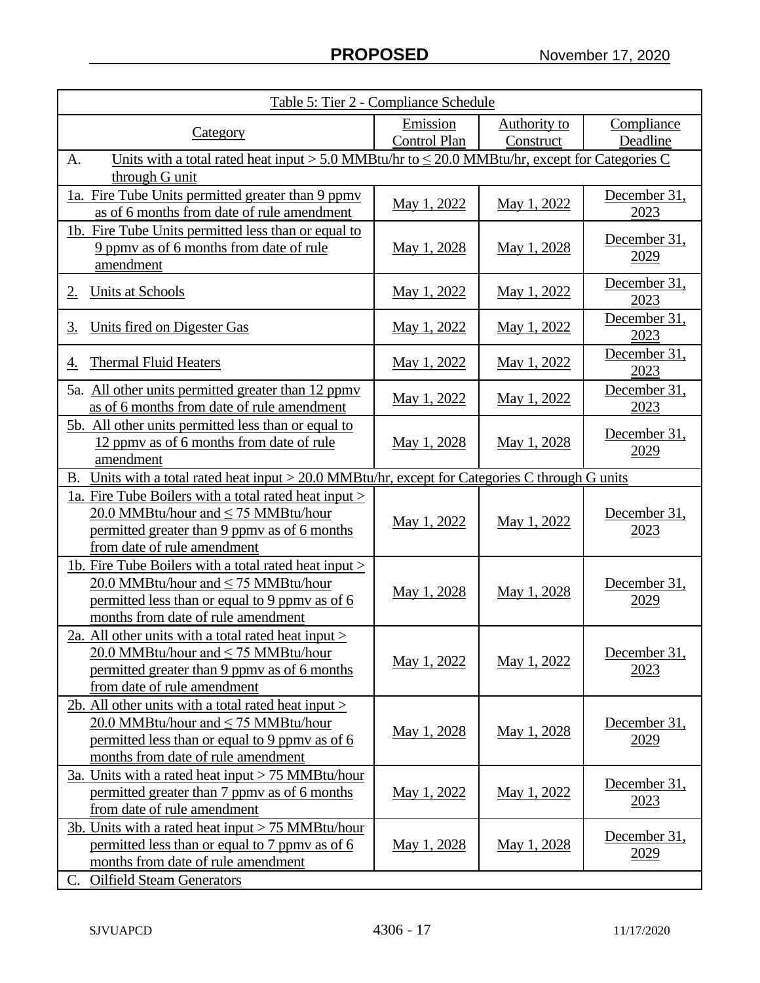| Table 5: Tier 2 - Compliance Schedule                                                                                                                                                       |                                 |                                  |                             |  |
|---------------------------------------------------------------------------------------------------------------------------------------------------------------------------------------------|---------------------------------|----------------------------------|-----------------------------|--|
| <u>Category</u>                                                                                                                                                                             | Emission<br><b>Control Plan</b> | <b>Authority to</b><br>Construct | Compliance<br>Deadline      |  |
| Units with a total rated heat input > 5.0 MMBtu/hr to $\leq$ 20.0 MMBtu/hr, except for Categories C<br>A.                                                                                   |                                 |                                  |                             |  |
| through G unit<br>1a. Fire Tube Units permitted greater than 9 ppmy<br>as of 6 months from date of rule amendment                                                                           | May 1, 2022                     | May 1, 2022                      | December 31,<br>2023        |  |
| 1b. Fire Tube Units permitted less than or equal to<br>9 ppmy as of 6 months from date of rule<br>amendment                                                                                 | May 1, 2028                     | May 1, 2028                      | December 31,<br>2029        |  |
| <b>Units at Schools</b><br>2.                                                                                                                                                               | May 1, 2022                     | May 1, 2022                      | December 31,<br>2023        |  |
| Units fired on Digester Gas<br><u>3.</u>                                                                                                                                                    | May 1, 2022                     | May 1, 2022                      | December 31,<br>2023        |  |
| <b>Thermal Fluid Heaters</b><br>4.                                                                                                                                                          | May 1, 2022                     | May 1, 2022                      | December 31,<br>2023        |  |
| 5a. All other units permitted greater than 12 ppmy<br>as of 6 months from date of rule amendment                                                                                            | May 1, 2022                     | May 1, 2022                      | December 31,<br>2023        |  |
| <u>5b. All other units permitted less than or equal to</u><br>12 ppmy as of 6 months from date of rule<br>amendment                                                                         | May 1, 2028                     | <u>May 1, 2028</u>               | December 31,<br>2029        |  |
| Units with a total rated heat input $> 20.0$ MMBtu/hr, except for Categories C through G units<br>B.                                                                                        |                                 |                                  |                             |  |
| 1a. Fire Tube Boilers with a total rated heat input ><br>20.0 MMBtu/hour and $\leq$ 75 MMBtu/hour<br>permitted greater than 9 ppmy as of 6 months<br>from date of rule amendment            | May 1, 2022                     | May 1, 2022                      | December 31,<br>2023        |  |
| 1b. Fire Tube Boilers with a total rated heat input ><br>20.0 MMBtu/hour and $\leq$ 75 MMBtu/hour<br>permitted less than or equal to 9 ppmy as of 6<br>months from date of rule amendment   | May 1, 2028                     | May 1, 2028                      | December 31,<br><u>2029</u> |  |
| 2a. All other units with a total rated heat input $\ge$<br>20.0 MMBtu/hour and $\leq$ 75 MMBtu/hour<br>permitted greater than 9 ppmy as of 6 months<br>from date of rule amendment          | May 1, 2022                     | May 1, 2022                      | December 31,<br>2023        |  |
| 2b. All other units with a total rated heat input $\ge$<br>20.0 MMBtu/hour and $\leq$ 75 MMBtu/hour<br>permitted less than or equal to 9 ppmy as of 6<br>months from date of rule amendment | May 1, 2028                     | May 1, 2028                      | December 31,<br>2029        |  |
| 3a. Units with a rated heat input $> 75$ MMBtu/hour<br>permitted greater than 7 ppmy as of 6 months<br>from date of rule amendment                                                          | May 1, 2022                     | May 1, 2022                      | December 31,<br>2023        |  |
| <u>3b. Units with a rated heat input <math>&gt;</math> 75 MMBtu/hour</u><br>permitted less than or equal to 7 ppmy as of 6<br>months from date of rule amendment                            | May 1, 2028                     | May 1, 2028                      | December 31,<br>2029        |  |
| <b>Oilfield Steam Generators</b><br>C.                                                                                                                                                      |                                 |                                  |                             |  |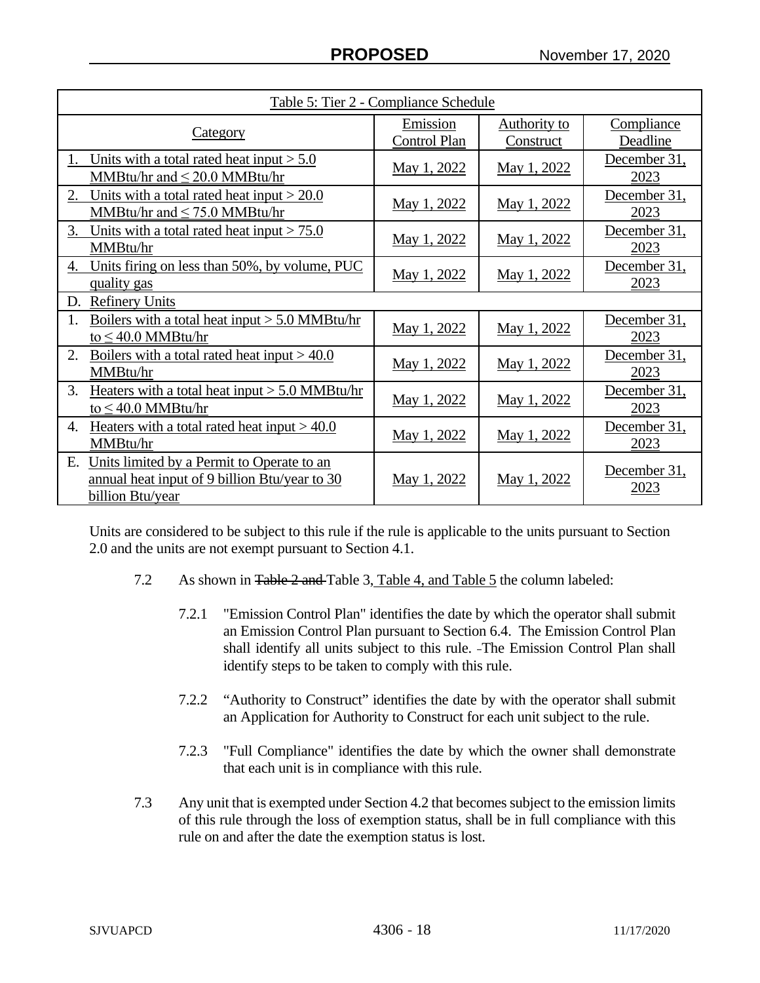| Table 5: Tier 2 - Compliance Schedule                                                                                 |                          |                           |                        |  |
|-----------------------------------------------------------------------------------------------------------------------|--------------------------|---------------------------|------------------------|--|
| <u>Category</u>                                                                                                       | Emission<br>Control Plan | Authority to<br>Construct | Compliance<br>Deadline |  |
| Units with a total rated heat input $> 5.0$<br>MMBtu/hr and $\leq$ 20.0 MMBtu/hr                                      | May 1, 2022              | May 1, 2022               | December 31,<br>2023   |  |
| 2.<br>Units with a total rated heat input $>$ 20.0<br>MMBtu/hr and $\leq$ 75.0 MMBtu/hr                               | May 1, 2022              | May 1, 2022               | December 31,<br>2023   |  |
| 3.<br>Units with a total rated heat input $> 75.0$<br>MMBtu/hr                                                        | May 1, 2022              | May 1, 2022               | December 31,<br>2023   |  |
| Units firing on less than 50%, by volume, PUC<br>4.<br>quality gas                                                    | May 1, 2022              | May 1, 2022               | December 31,<br>2023   |  |
| <b>Refinery Units</b><br>D.                                                                                           |                          |                           |                        |  |
| Boilers with a total heat input $> 5.0$ MMBtu/hr<br>1.<br>to $\leq$ 40.0 MMBtu/hr                                     | May 1, 2022              | May 1, 2022               | December 31,<br>2023   |  |
| Boilers with a total rated heat input $> 40.0$<br>2.<br>MMBtu/hr                                                      | May 1, 2022              | May 1, 2022               | December 31,<br>2023   |  |
| 3.<br>Heaters with a total heat input $> 5.0$ MMBtu/hr<br>to $\leq$ 40.0 MMBtu/hr                                     | May 1, 2022              | May 1, 2022               | December 31,<br>2023   |  |
| Heaters with a total rated heat input $> 40.0$<br>4.<br>MMBtu/hr                                                      | May 1, 2022              | May 1, 2022               | December 31,<br>2023   |  |
| Units limited by a Permit to Operate to an<br>Е.<br>annual heat input of 9 billion Btu/year to 30<br>billion Btu/year | <u>May 1, 2022</u>       | May 1, 2022               | December 31,<br>2023   |  |

Units are considered to be subject to this rule if the rule is applicable to the units pursuant to Section 2.0 and the units are not exempt pursuant to Section 4.1.

- 7.2 As shown in Table 2 and Table 3, Table 4, and Table 5 the column labeled:
	- 7.2.1 "Emission Control Plan" identifies the date by which the operator shall submit an Emission Control Plan pursuant to Section 6.4. The Emission Control Plan shall identify all units subject to this rule. The Emission Control Plan shall identify steps to be taken to comply with this rule.
	- 7.2.2 "Authority to Construct" identifies the date by with the operator shall submit an Application for Authority to Construct for each unit subject to the rule.
	- 7.2.3 "Full Compliance" identifies the date by which the owner shall demonstrate that each unit is in compliance with this rule.
- 7.3 Any unit that is exempted under Section 4.2 that becomes subject to the emission limits of this rule through the loss of exemption status, shall be in full compliance with this rule on and after the date the exemption status is lost.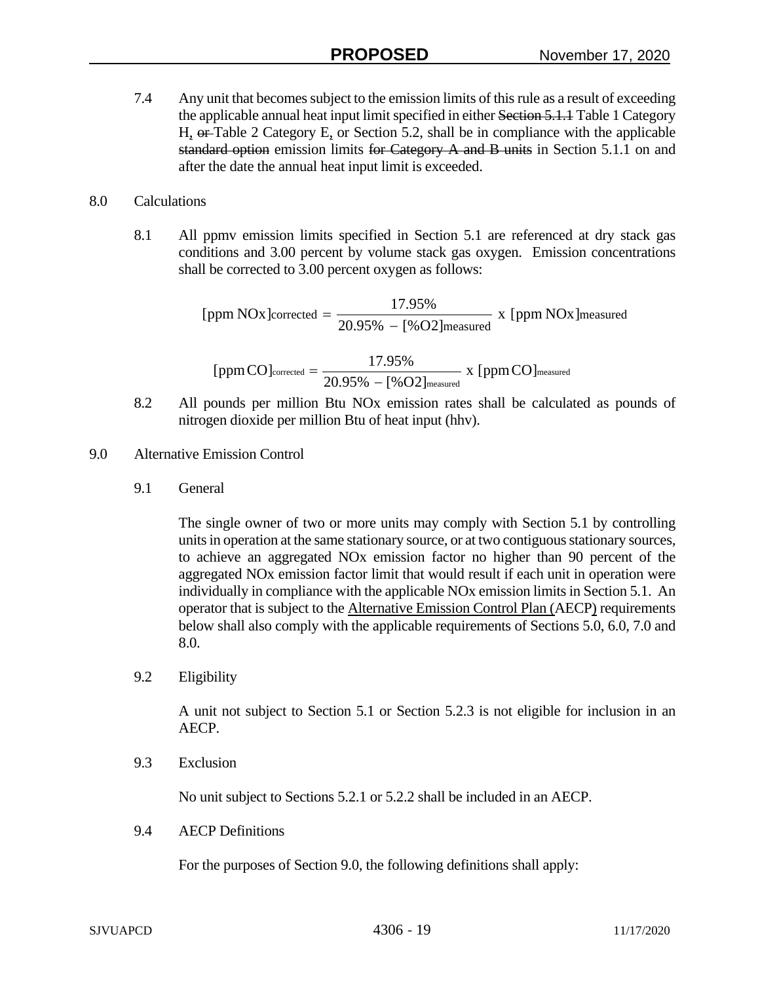7.4 Any unit that becomes subject to the emission limits of this rule as a result of exceeding the applicable annual heat input limit specified in either Section 5.1.1 Table 1 Category H, or Table 2 Category E, or Section 5.2, shall be in compliance with the applicable standard option emission limits for Category  $A$  and  $B$  units in Section 5.1.1 on and after the date the annual heat input limit is exceeded.

## 8.0 Calculations

8.1 All ppmv emission limits specified in Section 5.1 are referenced at dry stack gas conditions and 3.00 percent by volume stack gas oxygen. Emission concentrations shall be corrected to 3.00 percent oxygen as follows:

> measured [ppm NOx]corrected =  $\frac{17.95\%}{20.95\% - [%O2]$  measured x [ppm NOx]

$$
[ppmCO]_{corrected} = \frac{17.95\%}{20.95\% - [\%O2]_{measured}} \; x \; [ppmCO]_{measured}
$$

- 8.2 All pounds per million Btu NOx emission rates shall be calculated as pounds of nitrogen dioxide per million Btu of heat input (hhv).
- 9.0 Alternative Emission Control
	- 9.1 General

The single owner of two or more units may comply with Section 5.1 by controlling units in operation at the same stationary source, or at two contiguous stationary sources, to achieve an aggregated NOx emission factor no higher than 90 percent of the aggregated NOx emission factor limit that would result if each unit in operation were individually in compliance with the applicable NOx emission limits in Section 5.1. An operator that is subject to the Alternative Emission Control Plan (AECP) requirements below shall also comply with the applicable requirements of Sections 5.0, 6.0, 7.0 and 8.0.

9.2 Eligibility

A unit not subject to Section 5.1 or Section 5.2.3 is not eligible for inclusion in an AECP.

9.3 Exclusion

No unit subject to Sections 5.2.1 or 5.2.2 shall be included in an AECP.

9.4 AECP Definitions

For the purposes of Section 9.0, the following definitions shall apply: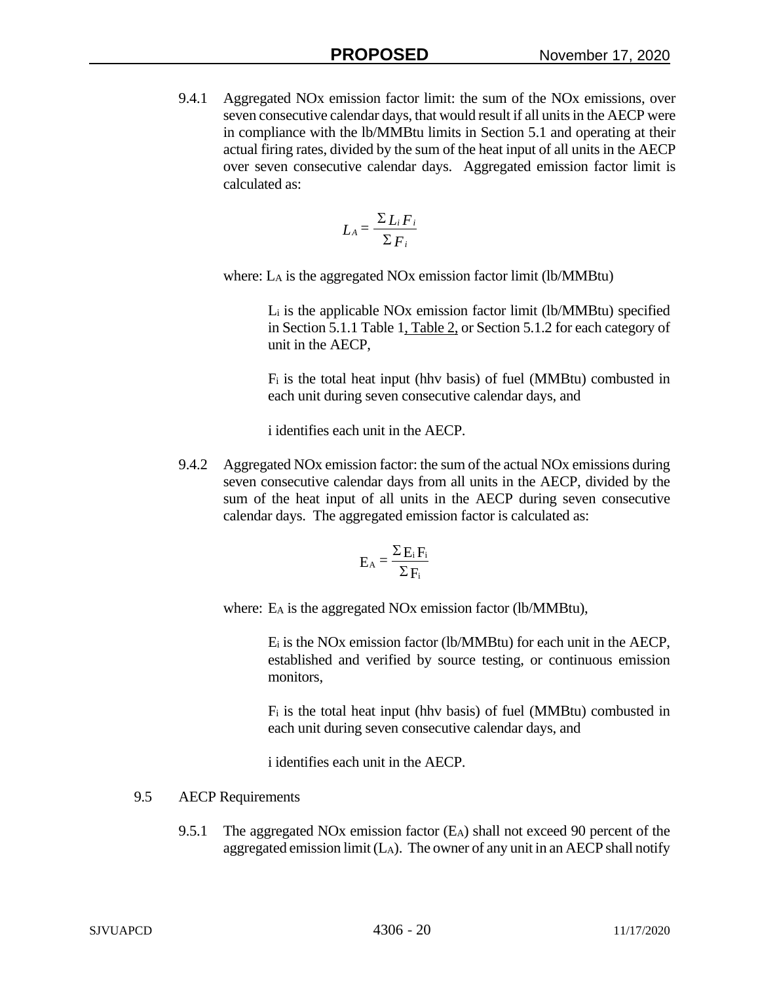9.4.1 Aggregated NOx emission factor limit: the sum of the NOx emissions, over seven consecutive calendar days, that would result if all units in the AECP were in compliance with the lb/MMBtu limits in Section 5.1 and operating at their actual firing rates, divided by the sum of the heat input of all units in the AECP over seven consecutive calendar days. Aggregated emission factor limit is calculated as:

$$
L_A = \frac{\sum L_i F_i}{\sum F_i}
$$

where: LA is the aggregated NOx emission factor limit (lb/MMBtu)

Li is the applicable NOx emission factor limit (lb/MMBtu) specified in Section 5.1.1 Table 1, Table 2, or Section 5.1.2 for each category of unit in the AECP,

Fi is the total heat input (hhv basis) of fuel (MMBtu) combusted in each unit during seven consecutive calendar days, and

i identifies each unit in the AECP.

9.4.2 Aggregated NOx emission factor: the sum of the actual NOx emissions during seven consecutive calendar days from all units in the AECP, divided by the sum of the heat input of all units in the AECP during seven consecutive calendar days. The aggregated emission factor is calculated as:

$$
E_A = \frac{\Sigma E_i F_i}{\Sigma F_i}
$$

where: E<sub>A</sub> is the aggregated NO<sub>x</sub> emission factor (lb/MMBtu),

Ei is the NOx emission factor (lb/MMBtu) for each unit in the AECP, established and verified by source testing, or continuous emission monitors,

Fi is the total heat input (hhv basis) of fuel (MMBtu) combusted in each unit during seven consecutive calendar days, and

i identifies each unit in the AECP.

## 9.5 AECP Requirements

9.5.1 The aggregated NOx emission factor (EA) shall not exceed 90 percent of the aggregated emission limit  $(L_A)$ . The owner of any unit in an AECP shall notify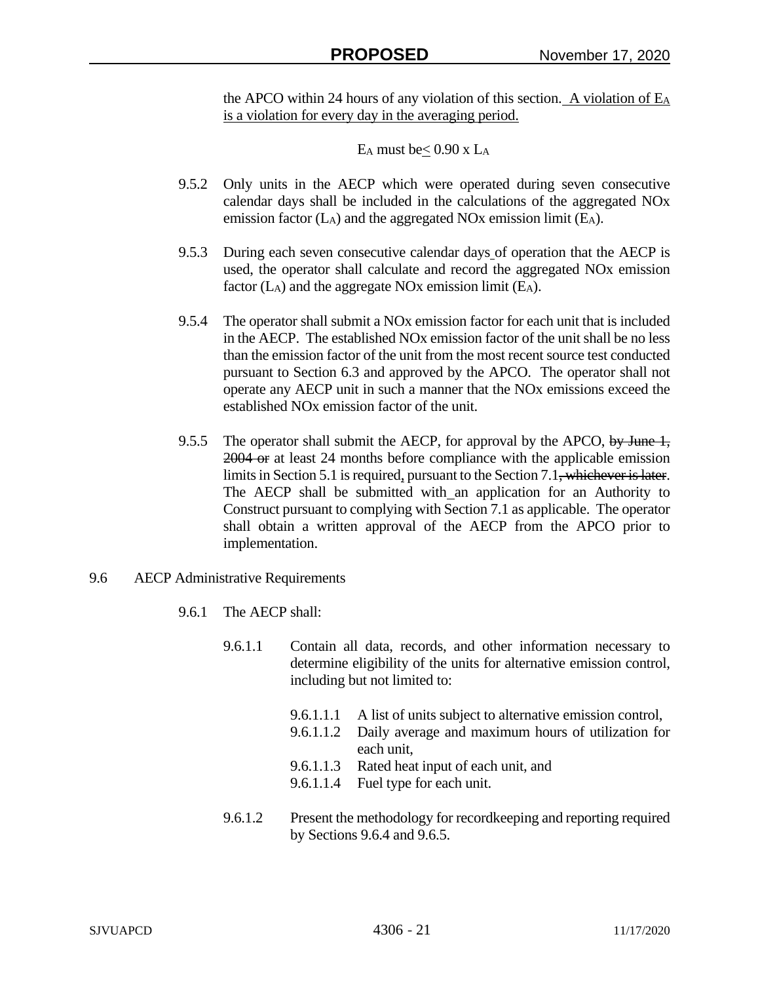the APCO within 24 hours of any violation of this section. A violation of  $E_A$ is a violation for every day in the averaging period.

EA must be  $\leq 0.90$  x L<sub>A</sub>

- 9.5.2 Only units in the AECP which were operated during seven consecutive calendar days shall be included in the calculations of the aggregated NOx emission factor (LA) and the aggregated NOx emission limit (EA).
- 9.5.3 During each seven consecutive calendar days of operation that the AECP is used, the operator shall calculate and record the aggregated NOx emission factor  $(L_A)$  and the aggregate NOx emission limit  $(E_A)$ .
- 9.5.4 The operator shall submit a NOx emission factor for each unit that is included in the AECP. The established NOx emission factor of the unit shall be no less than the emission factor of the unit from the most recent source test conducted pursuant to Section 6.3 and approved by the APCO. The operator shall not operate any AECP unit in such a manner that the NOx emissions exceed the established NOx emission factor of the unit.
- 9.5.5 The operator shall submit the AECP, for approval by the APCO, by June  $\frac{1}{2}$ , 2004 or at least 24 months before compliance with the applicable emission limits in Section 5.1 is required, pursuant to the Section 7.1, whichever is later. The AECP shall be submitted with an application for an Authority to Construct pursuant to complying with Section 7.1 as applicable. The operator shall obtain a written approval of the AECP from the APCO prior to implementation.
- 9.6 AECP Administrative Requirements
	- 9.6.1 The AECP shall:
		- 9.6.1.1 Contain all data, records, and other information necessary to determine eligibility of the units for alternative emission control, including but not limited to:
			- 9.6.1.1.1 A list of units subject to alternative emission control,
			- 9.6.1.1.2 Daily average and maximum hours of utilization for each unit,
			- 9.6.1.1.3 Rated heat input of each unit, and
			- 9.6.1.1.4 Fuel type for each unit.
		- 9.6.1.2 Present the methodology for recordkeeping and reporting required by Sections 9.6.4 and 9.6.5.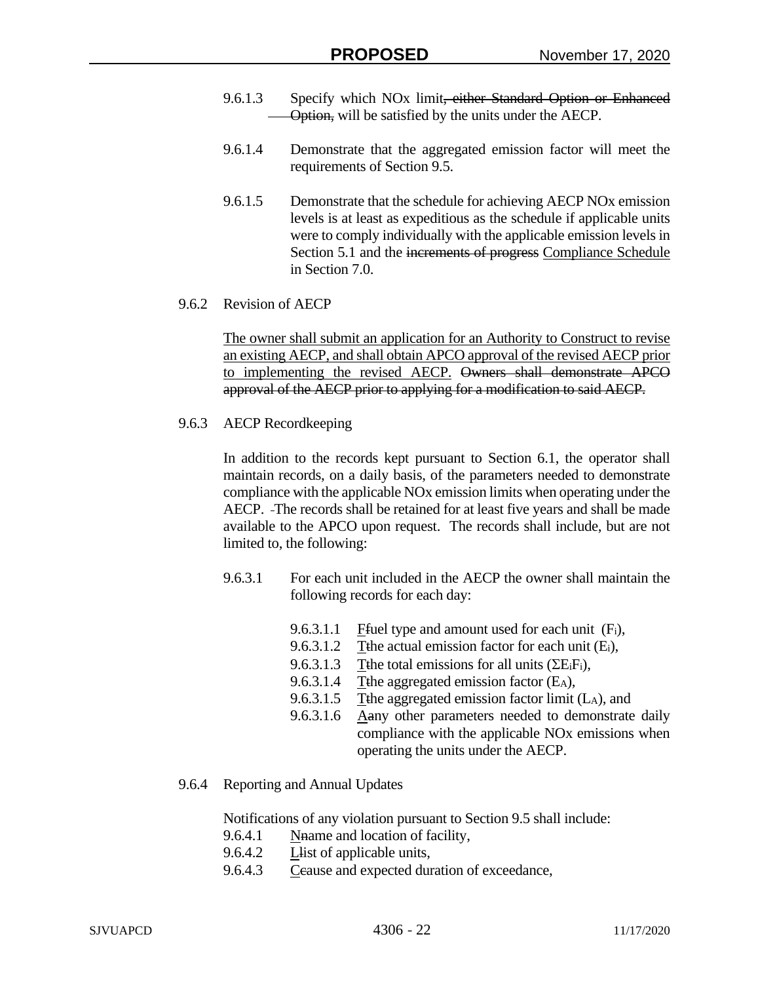- 9.6.1.3 Specify which NO<sub>x</sub> limit<del>, either Standard Option or Enhanced</del> Option, will be satisfied by the units under the AECP.
- 9.6.1.4 Demonstrate that the aggregated emission factor will meet the requirements of Section 9.5.
- 9.6.1.5 Demonstrate that the schedule for achieving AECP NOx emission levels is at least as expeditious as the schedule if applicable units were to comply individually with the applicable emission levels in Section 5.1 and the increments of progress Compliance Schedule in Section 7.0.
- 9.6.2 Revision of AECP

The owner shall submit an application for an Authority to Construct to revise an existing AECP, and shall obtain APCO approval of the revised AECP prior to implementing the revised AECP. Owners shall demonstrate APCO approval of the AECP prior to applying for a modification to said AECP.

9.6.3 AECP Recordkeeping

In addition to the records kept pursuant to Section 6.1, the operator shall maintain records, on a daily basis, of the parameters needed to demonstrate compliance with the applicable NOx emission limits when operating under the AECP. The records shall be retained for at least five years and shall be made available to the APCO upon request. The records shall include, but are not limited to, the following:

- 9.6.3.1 For each unit included in the AECP the owner shall maintain the following records for each day:
	- 9.6.3.1.1 Ffuel type and amount used for each unit  $(F_i)$ ,
	- 9.6.3.1.2 Tthe actual emission factor for each unit  $(E_i)$ ,
	- 9.6.3.1.3 Tthe total emissions for all units  $(\Sigma E_i F_i)$ .
	- 9.6.3.1.4 The aggregated emission factor (E<sub>A</sub>),
	- 9.6.3.1.5 Tthe aggregated emission factor limit  $(L_A)$ , and
	- 9.6.3.1.6 Aany other parameters needed to demonstrate daily compliance with the applicable NOx emissions when operating the units under the AECP.
- 9.6.4 Reporting and Annual Updates

Notifications of any violation pursuant to Section 9.5 shall include:

- 9.6.4.1 Nhame and location of facility,
- 9.6.4.2 Llist of applicable units,
- 9.6.4.3 Ceause and expected duration of exceedance,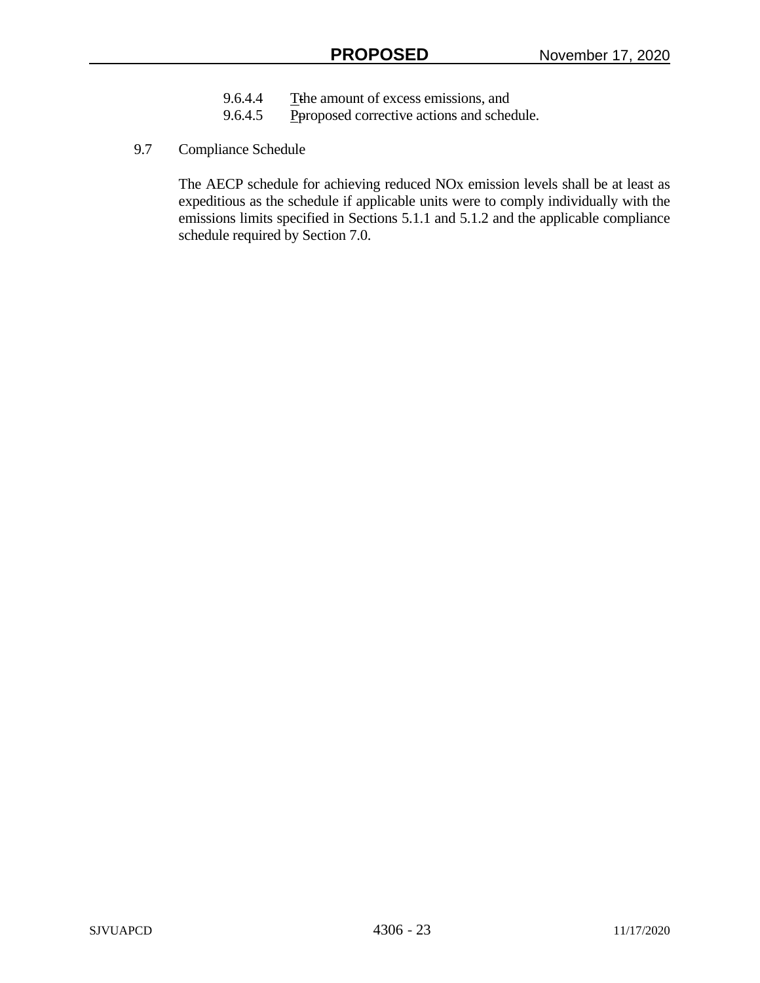- 9.6.4.4 The amount of excess emissions, and
- 9.6.4.5 Peroposed corrective actions and schedule.
- 9.7 Compliance Schedule

The AECP schedule for achieving reduced NOx emission levels shall be at least as expeditious as the schedule if applicable units were to comply individually with the emissions limits specified in Sections 5.1.1 and 5.1.2 and the applicable compliance schedule required by Section 7.0.